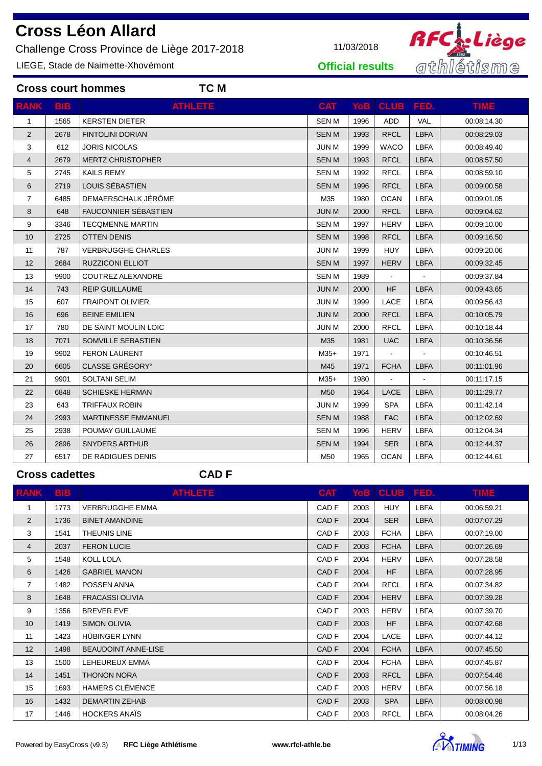Challenge Cross Province de Liège 2017-2018 11/03/2018

**Cross court hommes TC M**

LIEGE, Stade de Naimette-Xhovémont



**Official results**

| <b>RANK</b>    | <b>BIB</b> | <b>ATHLETE</b>             | <b>CAT</b>      | YoB. | <b>CLUB</b>    | FED.           | <b>TIME</b> |
|----------------|------------|----------------------------|-----------------|------|----------------|----------------|-------------|
| $\mathbf{1}$   | 1565       | <b>KERSTEN DIETER</b>      | <b>SENM</b>     | 1996 | <b>ADD</b>     | <b>VAL</b>     | 00:08:14.30 |
| 2              | 2678       | <b>FINTOLINI DORIAN</b>    | <b>SENM</b>     | 1993 | <b>RFCL</b>    | <b>LBFA</b>    | 00:08:29.03 |
| 3              | 612        | <b>JORIS NICOLAS</b>       | <b>JUN M</b>    | 1999 | <b>WACO</b>    | <b>LBFA</b>    | 00:08:49.40 |
| 4              | 2679       | <b>MERTZ CHRISTOPHER</b>   | <b>SENM</b>     | 1993 | <b>RFCL</b>    | <b>LBFA</b>    | 00:08:57.50 |
| 5              | 2745       | <b>KAILS REMY</b>          | <b>SENM</b>     | 1992 | <b>RFCL</b>    | <b>LBFA</b>    | 00:08:59.10 |
| 6              | 2719       | LOUIS SÉBASTIEN            | <b>SENM</b>     | 1996 | <b>RFCL</b>    | <b>LBFA</b>    | 00:09:00.58 |
| $\overline{7}$ | 6485       | DEMAERSCHALK JÉRÔME        | M35             | 1980 | <b>OCAN</b>    | <b>LBFA</b>    | 00:09:01.05 |
| 8              | 648        | FAUCONNIER SÉBASTIEN       | <b>JUN M</b>    | 2000 | <b>RFCL</b>    | <b>LBFA</b>    | 00:09:04.62 |
| 9              | 3346       | <b>TECOMENNE MARTIN</b>    | <b>SENM</b>     | 1997 | <b>HERV</b>    | <b>LBFA</b>    | 00:09:10.00 |
| 10             | 2725       | <b>OTTEN DENIS</b>         | <b>SENM</b>     | 1998 | <b>RFCL</b>    | <b>LBFA</b>    | 00:09:16.50 |
| 11             | 787        | <b>VERBRUGGHE CHARLES</b>  | <b>JUN M</b>    | 1999 | <b>HUY</b>     | <b>LBFA</b>    | 00:09:20.06 |
| 12             | 2684       | <b>RUZZICONI ELLIOT</b>    | <b>SENM</b>     | 1997 | <b>HERV</b>    | <b>LBFA</b>    | 00:09:32.45 |
| 13             | 9900       | COUTREZ ALEXANDRE          | <b>SEN M</b>    | 1989 | $\blacksquare$ |                | 00:09:37.84 |
| 14             | 743        | <b>REIP GUILLAUME</b>      | <b>JUN M</b>    | 2000 | <b>HF</b>      | <b>LBFA</b>    | 00:09:43.65 |
| 15             | 607        | <b>FRAIPONT OLIVIER</b>    | <b>JUN M</b>    | 1999 | LACE           | <b>LBFA</b>    | 00:09:56.43 |
| 16             | 696        | <b>BEINE EMILIEN</b>       | <b>JUN M</b>    | 2000 | <b>RFCL</b>    | <b>LBFA</b>    | 00:10:05.79 |
| 17             | 780        | DE SAINT MOULIN LOIC       | <b>JUN M</b>    | 2000 | <b>RFCL</b>    | <b>LBFA</b>    | 00:10:18.44 |
| 18             | 7071       | SOMVILLE SEBASTIEN         | M35             | 1981 | <b>UAC</b>     | <b>LBFA</b>    | 00:10:36.56 |
| 19             | 9902       | <b>FERON LAURENT</b>       | $M35+$          | 1971 | $\blacksquare$ | $\blacksquare$ | 00:10:46.51 |
| 20             | 6605       | CLASSE GRÉGORY°            | M45             | 1971 | <b>FCHA</b>    | <b>LBFA</b>    | 00:11:01.96 |
| 21             | 9901       | <b>SOLTANI SELIM</b>       | $M35+$          | 1980 |                |                | 00:11:17.15 |
| 22             | 6848       | <b>SCHIESKE HERMAN</b>     | M <sub>50</sub> | 1964 | LACE           | <b>LBFA</b>    | 00:11:29.77 |
| 23             | 643        | TRIFFAUX ROBIN             | <b>JUN M</b>    | 1999 | <b>SPA</b>     | <b>LBFA</b>    | 00:11:42.14 |
| 24             | 2993       | <b>MARTINESSE EMMANUEL</b> | <b>SENM</b>     | 1988 | <b>FAC</b>     | <b>LBFA</b>    | 00:12:02.69 |
| 25             | 2938       | POUMAY GUILLAUME           | <b>SENM</b>     | 1996 | <b>HERV</b>    | <b>LBFA</b>    | 00:12:04.34 |
| 26             | 2896       | <b>SNYDERS ARTHUR</b>      | <b>SENM</b>     | 1994 | <b>SER</b>     | <b>LBFA</b>    | 00:12:44.37 |
| 27             | 6517       | DE RADIGUES DENIS          | M50             | 1965 | <b>OCAN</b>    | <b>LBFA</b>    | 00:12:44.61 |

## **Cross cadettes CAD F**

| <b>RANK</b>    | <b>BIB</b> | <b>ATHLETE</b>             | <b>CAT</b>       |      | YoB   CLUB   FED. |             | <b>TIME</b> |
|----------------|------------|----------------------------|------------------|------|-------------------|-------------|-------------|
| 1              | 1773       | <b>VERBRUGGHE EMMA</b>     | CAD <sub>F</sub> | 2003 | <b>HUY</b>        | <b>LBFA</b> | 00:06:59.21 |
| 2              | 1736       | <b>BINET AMANDINE</b>      | CAD <sub>F</sub> | 2004 | <b>SER</b>        | <b>LBFA</b> | 00:07:07.29 |
| 3              | 1541       | THEUNIS LINE               | CAD <sub>F</sub> | 2003 | <b>FCHA</b>       | <b>LBFA</b> | 00:07:19.00 |
| 4              | 2037       | <b>FERON LUCIE</b>         | CAD <sub>F</sub> | 2003 | <b>FCHA</b>       | <b>LBFA</b> | 00:07:26.69 |
| 5              | 1548       | KOLL LOLA                  | CAD <sub>F</sub> | 2004 | <b>HERV</b>       | <b>LBFA</b> | 00:07:28.58 |
| 6              | 1426       | <b>GABRIEL MANON</b>       | CAD <sub>F</sub> | 2004 | <b>HF</b>         | <b>LBFA</b> | 00:07:28.95 |
| $\overline{7}$ | 1482       | POSSEN ANNA                | CAD <sub>F</sub> | 2004 | <b>RFCL</b>       | <b>LBFA</b> | 00:07:34.82 |
| 8              | 1648       | <b>FRACASSI OLIVIA</b>     | CAD <sub>F</sub> | 2004 | <b>HERV</b>       | <b>LBFA</b> | 00:07:39.28 |
| 9              | 1356       | <b>BREVER EVE</b>          | CAD <sub>F</sub> | 2003 | <b>HERV</b>       | <b>LBFA</b> | 00:07:39.70 |
| 10             | 1419       | <b>SIMON OLIVIA</b>        | CAD <sub>F</sub> | 2003 | HF                | <b>LBFA</b> | 00:07:42.68 |
| 11             | 1423       | HÜBINGER LYNN              | CAD <sub>F</sub> | 2004 | <b>LACE</b>       | <b>LBFA</b> | 00:07:44.12 |
| 12             | 1498       | <b>BEAUDOINT ANNE-LISE</b> | CAD <sub>F</sub> | 2004 | <b>FCHA</b>       | <b>LBFA</b> | 00:07:45.50 |
| 13             | 1500       | LEHEUREUX EMMA             | CAD <sub>F</sub> | 2004 | <b>FCHA</b>       | <b>LBFA</b> | 00:07:45.87 |
| 14             | 1451       | <b>THONON NORA</b>         | CAD <sub>F</sub> | 2003 | <b>RFCL</b>       | <b>LBFA</b> | 00:07:54.46 |
| 15             | 1693       | <b>HAMERS CLÉMENCE</b>     | CAD <sub>F</sub> | 2003 | <b>HERV</b>       | <b>LBFA</b> | 00:07:56.18 |
| 16             | 1432       | <b>DEMARTIN ZEHAB</b>      | CAD <sub>F</sub> | 2003 | <b>SPA</b>        | <b>LBFA</b> | 00:08:00.98 |
| 17             | 1446       | <b>HOCKERS ANAIS</b>       | CAD <sub>F</sub> | 2003 | <b>RFCL</b>       | <b>LBFA</b> | 00:08:04.26 |

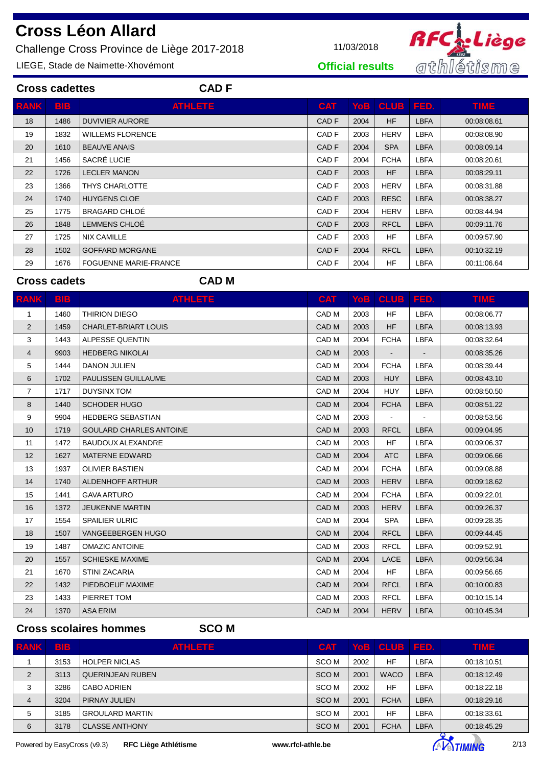Challenge Cross Province de Liège 2017-2018 11/03/2018

**Cross cadettes CAD F**

LIEGE, Stade de Naimette-Xhovémont



**Official results**

| <b>RANK</b> | <b>BIB</b> | <b>ATHLETE</b>               | <b>CAT</b>       |      | Yob   CLUB   FED. |             | <b>TIME</b> |
|-------------|------------|------------------------------|------------------|------|-------------------|-------------|-------------|
| 18          | 1486       | <b>DUVIVIER AURORE</b>       | CAD <sub>F</sub> | 2004 | HF                | <b>LBFA</b> | 00:08:08.61 |
| 19          | 1832       | <b>WILLEMS FLORENCE</b>      | CAD F            | 2003 | <b>HERV</b>       | <b>LBFA</b> | 00:08:08.90 |
| 20          | 1610       | <b>BEAUVE ANAIS</b>          | CAD F            | 2004 | <b>SPA</b>        | <b>LBFA</b> | 00:08:09.14 |
| 21          | 1456       | SACRÉ LUCIE                  | CAD F            | 2004 | <b>FCHA</b>       | <b>LBFA</b> | 00:08:20.61 |
| 22          | 1726       | <b>LECLER MANON</b>          | CAD F            | 2003 | <b>HF</b>         | <b>LBFA</b> | 00:08:29.11 |
| 23          | 1366       | THYS CHARLOTTE               | CAD F            | 2003 | <b>HERV</b>       | <b>LBFA</b> | 00:08:31.88 |
| 24          | 1740       | <b>HUYGENS CLOE</b>          | CAD <sub>F</sub> | 2003 | <b>RESC</b>       | <b>LBFA</b> | 00:08:38.27 |
| 25          | 1775       | <b>BRAGARD CHLOE</b>         | CAD F            | 2004 | <b>HERV</b>       | <b>LBFA</b> | 00:08:44.94 |
| 26          | 1848       | LEMMENS CHLOÉ                | CAD <sub>F</sub> | 2003 | <b>RFCL</b>       | <b>LBFA</b> | 00:09:11.76 |
| 27          | 1725       | <b>NIX CAMILLE</b>           | CAD F            | 2003 | <b>HF</b>         | <b>LBFA</b> | 00:09:57.90 |
| 28          | 1502       | <b>GOFFARD MORGANE</b>       | CAD <sub>F</sub> | 2004 | <b>RFCL</b>       | <b>LBFA</b> | 00:10:32.19 |
| 29          | 1676       | <b>FOGUENNE MARIE-FRANCE</b> | CAD F            | 2004 | <b>HF</b>         | <b>LBFA</b> | 00:11:06.64 |
|             |            |                              |                  |      |                   |             |             |

## **Cross cadets CAD M**

| <b>RANK</b>    | <b>BIB</b> | <b>ATHLETE</b>                 | <b>CAT</b>       | YoB  | <b>CLUB</b>    | I FED.         | <b>TIME</b> |
|----------------|------------|--------------------------------|------------------|------|----------------|----------------|-------------|
| 1              | 1460       | <b>THIRION DIEGO</b>           | CAD <sub>M</sub> | 2003 | <b>HF</b>      | <b>LBFA</b>    | 00:08:06.77 |
| 2              | 1459       | <b>CHARLET-BRIART LOUIS</b>    | CAD <sub>M</sub> | 2003 | <b>HF</b>      | <b>LBFA</b>    | 00:08:13.93 |
| 3              | 1443       | ALPESSE QUENTIN                | CAD <sub>M</sub> | 2004 | <b>FCHA</b>    | <b>LBFA</b>    | 00:08:32.64 |
| 4              | 9903       | <b>HEDBERG NIKOLAI</b>         | CAD <sub>M</sub> | 2003 |                |                | 00:08:35.26 |
| 5              | 1444       | <b>DANON JULIEN</b>            | CAD <sub>M</sub> | 2004 | <b>FCHA</b>    | <b>LBFA</b>    | 00:08:39.44 |
| 6              | 1702       | PAULISSEN GUILLAUME            | CAD <sub>M</sub> | 2003 | <b>HUY</b>     | <b>LBFA</b>    | 00:08:43.10 |
| $\overline{7}$ | 1717       | <b>DUYSINX TOM</b>             | CAD <sub>M</sub> | 2004 | <b>HUY</b>     | <b>LBFA</b>    | 00:08:50.50 |
| 8              | 1440       | <b>SCHODER HUGO</b>            | CAD <sub>M</sub> | 2004 | <b>FCHA</b>    | <b>LBFA</b>    | 00:08:51.22 |
| 9              | 9904       | <b>HEDBERG SEBASTIAN</b>       | CAD <sub>M</sub> | 2003 | $\blacksquare$ | $\blacksquare$ | 00:08:53.56 |
| 10             | 1719       | <b>GOULARD CHARLES ANTOINE</b> | CAD <sub>M</sub> | 2003 | <b>RFCL</b>    | <b>LBFA</b>    | 00:09:04.95 |
| 11             | 1472       | <b>BAUDOUX ALEXANDRE</b>       | CAD M            | 2003 | <b>HF</b>      | <b>LBFA</b>    | 00:09:06.37 |
| 12             | 1627       | <b>MATERNE EDWARD</b>          | CAD <sub>M</sub> | 2004 | <b>ATC</b>     | <b>LBFA</b>    | 00:09:06.66 |
| 13             | 1937       | <b>OLIVIER BASTIEN</b>         | CAD <sub>M</sub> | 2004 | <b>FCHA</b>    | <b>LBFA</b>    | 00:09:08.88 |
| 14             | 1740       | <b>ALDENHOFF ARTHUR</b>        | CAD <sub>M</sub> | 2003 | <b>HERV</b>    | <b>LBFA</b>    | 00:09:18.62 |
| 15             | 1441       | <b>GAVA ARTURO</b>             | CAD <sub>M</sub> | 2004 | <b>FCHA</b>    | <b>LBFA</b>    | 00:09:22.01 |
| 16             | 1372       | <b>JEUKENNE MARTIN</b>         | CAD <sub>M</sub> | 2003 | <b>HERV</b>    | <b>LBFA</b>    | 00:09:26.37 |
| 17             | 1554       | <b>SPAILIER ULRIC</b>          | CAD M            | 2004 | <b>SPA</b>     | <b>LBFA</b>    | 00:09:28.35 |
| 18             | 1507       | VANGEEBERGEN HUGO              | CAD <sub>M</sub> | 2004 | <b>RFCL</b>    | <b>LBFA</b>    | 00:09:44.45 |
| 19             | 1487       | <b>OMAZIC ANTOINE</b>          | CAD M            | 2003 | <b>RFCL</b>    | <b>LBFA</b>    | 00:09:52.91 |
| 20             | 1557       | <b>SCHIESKE MAXIME</b>         | CAD <sub>M</sub> | 2004 | LACE           | <b>LBFA</b>    | 00:09:56.34 |
| 21             | 1670       | <b>STINI ZACARIA</b>           | CAD M            | 2004 | <b>HF</b>      | <b>LBFA</b>    | 00:09:56.65 |
| 22             | 1432       | PIEDBOEUF MAXIME               | CAD <sub>M</sub> | 2004 | <b>RFCL</b>    | <b>LBFA</b>    | 00:10:00.83 |
| 23             | 1433       | PIERRET TOM                    | CAD M            | 2003 | <b>RFCL</b>    | <b>LBFA</b>    | 00:10:15.14 |
| 24             | 1370       | <b>ASA ERIM</b>                | CAD <sub>M</sub> | 2004 | <b>HERV</b>    | <b>LBFA</b>    | 00:10:45.34 |

**Cross scolaires hommes SCO M**

| <b>RANK</b>    | <b>BB</b> | <b>ATHLETE</b>         | <b>CAT</b>       |      | Yob   CLUB   FED. |             | <b>TIME</b> |
|----------------|-----------|------------------------|------------------|------|-------------------|-------------|-------------|
|                | 3153      | <b>HOLPER NICLAS</b>   | SCO M            | 2002 | <b>HF</b>         | LBFA        | 00:18:10.51 |
| 2              | 3113      | QUERINJEAN RUBEN       | SCO <sub>M</sub> | 2001 | <b>WACO</b>       | <b>LBFA</b> | 00:18:12.49 |
| 3              | 3286      | CABO ADRIEN            | SCO M            | 2002 | HF                | LBFA        | 00:18:22.18 |
| $\overline{4}$ | 3204      | <b>PIRNAY JULIEN</b>   | SCO M            | 2001 | <b>FCHA</b>       | <b>LBFA</b> | 00:18:29.16 |
| 5              | 3185      | <b>GROULARD MARTIN</b> | SCO M            | 2001 | <b>HF</b>         | LBFA        | 00:18:33.61 |
| 6              | 3178      | <b>CLASSE ANTHONY</b>  | SCO M            | 2001 | <b>FCHA</b>       | LBFA        | 00:18:45.29 |

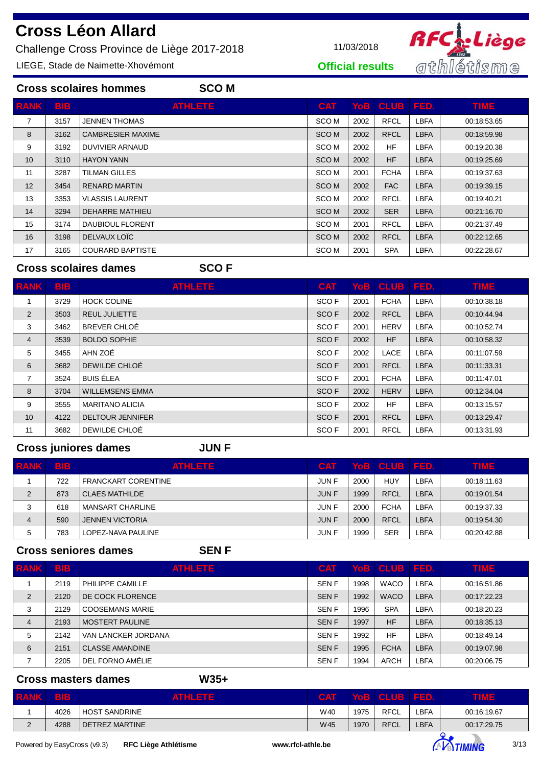Challenge Cross Province de Liège 2017-2018 11/03/2018

LIEGE, Stade de Naimette-Xhovémont



**Official results**

|                 | <b>Cross scolaires hommes</b><br><b>SCOM</b> |                          |                  |      |                   |             |             |  |  |  |  |
|-----------------|----------------------------------------------|--------------------------|------------------|------|-------------------|-------------|-------------|--|--|--|--|
| <b>RANK</b>     | <b>BIB</b>                                   | <b>ATHLETE</b>           | <b>CAT</b>       |      | YoB   CLUB   FED. |             | <b>TIME</b> |  |  |  |  |
| 7               | 3157                                         | JENNEN THOMAS            | SCO <sub>M</sub> | 2002 | <b>RFCL</b>       | <b>LBFA</b> | 00:18:53.65 |  |  |  |  |
| 8               | 3162                                         | <b>CAMBRESIER MAXIME</b> | <b>SCOM</b>      | 2002 | <b>RFCL</b>       | <b>LBFA</b> | 00:18:59.98 |  |  |  |  |
| 9               | 3192                                         | DUVIVIER ARNAUD          | SCO M            | 2002 | <b>HF</b>         | <b>LBFA</b> | 00:19:20.38 |  |  |  |  |
| 10 <sup>°</sup> | 3110                                         | <b>HAYON YANN</b>        | <b>SCOM</b>      | 2002 | <b>HF</b>         | <b>LBFA</b> | 00:19:25.69 |  |  |  |  |
| 11              | 3287                                         | TILMAN GILLES            | SCO <sub>M</sub> | 2001 | <b>FCHA</b>       | LBFA        | 00:19:37.63 |  |  |  |  |
| 12              | 3454                                         | <b>RENARD MARTIN</b>     | SCO <sub>M</sub> | 2002 | <b>FAC</b>        | <b>LBFA</b> | 00:19:39.15 |  |  |  |  |
| 13              | 3353                                         | <b>VLASSIS LAURENT</b>   | SCO M            | 2002 | <b>RFCL</b>       | <b>LBFA</b> | 00:19:40.21 |  |  |  |  |
| 14              | 3294                                         | DEHARRE MATHIEU          | <b>SCOM</b>      | 2002 | <b>SER</b>        | <b>LBFA</b> | 00:21:16.70 |  |  |  |  |
| 15              | 3174                                         | <b>DAUBIOUL FLORENT</b>  | SCO M            | 2001 | <b>RFCL</b>       | LBFA        | 00:21:37.49 |  |  |  |  |
| 16              | 3198                                         | DELVAUX LOIC             | SCO <sub>M</sub> | 2002 | <b>RFCL</b>       | <b>LBFA</b> | 00:22:12.65 |  |  |  |  |
| 17              | 3165                                         | <b>COURARD BAPTISTE</b>  | SCO <sub>M</sub> | 2001 | <b>SPA</b>        | LBFA        | 00:22:28.67 |  |  |  |  |

### **Cross scolaires dames SCO F**

| <b>RANK</b>    | <b>BIB</b> | <b>ATHLETE</b>          | <b>CAT</b>       |      | YoB   CLUB   FED. |             | <b>TIME</b> |
|----------------|------------|-------------------------|------------------|------|-------------------|-------------|-------------|
|                | 3729       | <b>HOCK COLINE</b>      | SCO <sub>F</sub> | 2001 | <b>FCHA</b>       | <b>LBFA</b> | 00:10:38.18 |
| $\overline{2}$ | 3503       | <b>REUL JULIETTE</b>    | SCO <sub>F</sub> | 2002 | <b>RFCL</b>       | <b>LBFA</b> | 00:10:44.94 |
| 3              | 3462       | BREVER CHLOÉ            | SCO <sub>F</sub> | 2001 | <b>HERV</b>       | <b>LBFA</b> | 00:10:52.74 |
| 4              | 3539       | <b>BOLDO SOPHIE</b>     | SCO <sub>F</sub> | 2002 | <b>HF</b>         | <b>LBFA</b> | 00:10:58.32 |
| 5              | 3455       | AHN ZOÉ                 | SCO <sub>F</sub> | 2002 | LACE              | <b>LBFA</b> | 00:11:07.59 |
| 6              | 3682       | DEWILDE CHLOÉ           | SCO <sub>F</sub> | 2001 | <b>RFCL</b>       | <b>LBFA</b> | 00:11:33.31 |
| 7              | 3524       | <b>BUIS ÉLEA</b>        | SCO <sub>F</sub> | 2001 | <b>FCHA</b>       | <b>LBFA</b> | 00:11:47.01 |
| 8              | 3704       | <b>WILLEMSENS EMMA</b>  | SCO <sub>F</sub> | 2002 | <b>HERV</b>       | <b>LBFA</b> | 00:12:34.04 |
| 9              | 3555       | <b>MARITANO ALICIA</b>  | SCO <sub>F</sub> | 2002 | <b>HF</b>         | <b>LBFA</b> | 00:13:15.57 |
| 10             | 4122       | <b>DELTOUR JENNIFER</b> | SCO <sub>F</sub> | 2001 | <b>RFCL</b>       | <b>LBFA</b> | 00:13:29.47 |
| 11             | 3682       | DEWILDE CHLOÉ           | SCO <sub>F</sub> | 2001 | <b>RFCL</b>       | <b>LBFA</b> | 00:13:31.93 |

**Cross juniores dames JUN F**

| <b>RANK</b>    | <b>BIB</b> | <b>ATHLETE</b>         | <b>CAT</b>   |      | Yob   CLUB   FED. |             | <b>TIME</b> |
|----------------|------------|------------------------|--------------|------|-------------------|-------------|-------------|
|                | 722        | FRANCKART CORENTINE    | JUN F        | 2000 | HUY               | LBFA        | 00:18:11.63 |
| $\overline{2}$ | 873        | CLAES MATHILDE         | <b>JUN F</b> | 1999 | RFCL              | LBFA        | 00:19:01.54 |
| 3              | 618        | MANSART CHARLINE       | <b>JUNF</b>  | 2000 | <b>FCHA</b>       | LBFA        | 00:19:37.33 |
| $\overline{4}$ | 590        | <b>JENNEN VICTORIA</b> | <b>JUNF</b>  | 2000 | <b>RFCL</b>       | <b>LBFA</b> | 00:19:54.30 |
| 5              | 783        | LOPEZ-NAVA PAULINE     | <b>JUNF</b>  | 1999 | <b>SER</b>        | LBFA        | 00:20:42.88 |

## **Cross seniores dames SEN F**

| <b>RANK</b> | <b>BIB</b> | <b>ATHLETE</b>         | <b>CAT</b>  |      | YoB   CLUB   FED. |             | <b>TIME</b> |
|-------------|------------|------------------------|-------------|------|-------------------|-------------|-------------|
|             | 2119       | PHILIPPE CAMILLE       | <b>SENF</b> | 1998 | <b>WACO</b>       | LBFA        | 00:16:51.86 |
| 2           | 2120       | DE COCK FLORENCE       | <b>SENF</b> | 1992 | <b>WACO</b>       | <b>LBFA</b> | 00:17:22.23 |
| 3           | 2129       | <b>COOSEMANS MARIE</b> | <b>SENF</b> | 1996 | <b>SPA</b>        | LBFA        | 00:18:20.23 |
| 4           | 2193       | <b>MOSTERT PAULINE</b> | <b>SENF</b> | 1997 | <b>HF</b>         | <b>LBFA</b> | 00:18:35.13 |
| 5           | 2142       | VAN LANCKER JORDANA    | <b>SENF</b> | 1992 | <b>HF</b>         | LBFA        | 00:18:49.14 |
| 6           | 2151       | <b>CLASSE AMANDINE</b> | <b>SENF</b> | 1995 | <b>FCHA</b>       | <b>LBFA</b> | 00:19:07.98 |
|             | 2205       | DEL FORNO AMÉLIE       | <b>SENF</b> | 1994 | <b>ARCH</b>       | LBFA        | 00:20:06.75 |

## **Cross masters dames W35+**

| <b>RANK</b> | <b>BIB</b> | <b>ATHLETE</b> | <b>CAT</b> |      | Yob   CLUB   FED. |      | nime        |
|-------------|------------|----------------|------------|------|-------------------|------|-------------|
|             | 4026       | HOST SANDRINE  | W40        | 1975 | <b>RFCL</b>       | _BFA | 00:16:19.67 |
|             | 4288       | DETREZ MARTINE | W45        | 1970 | <b>RFCL</b>       | _BFA | 00:17:29.75 |

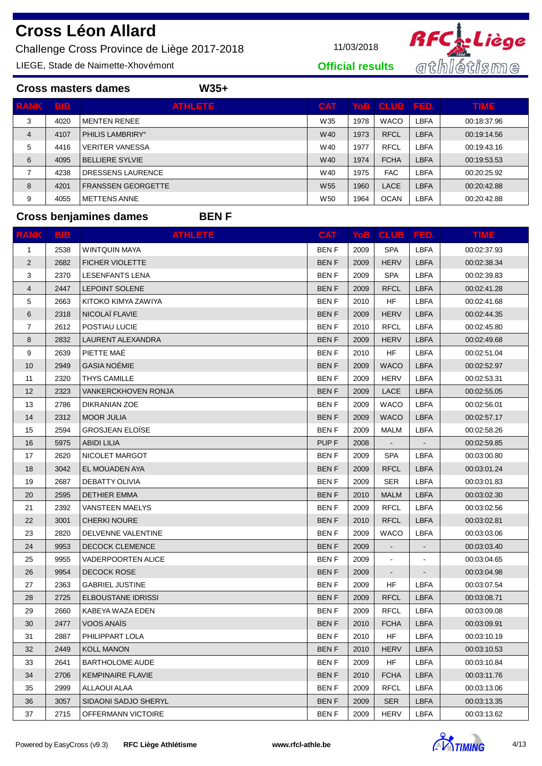Challenge Cross Province de Liège 2017-2018 11/03/2018

LIEGE, Stade de Naimette-Xhovémont



**Official results**

|                |            | $W35+$<br><b>Cross masters dames</b> |                 |      |                   |             |             |
|----------------|------------|--------------------------------------|-----------------|------|-------------------|-------------|-------------|
| <b>RANK</b>    | <b>BIB</b> | <b>ATHLETE</b>                       | <b>CAT</b>      |      | Yob   CLUB   FED. |             | <b>TIME</b> |
| 3              | 4020       | <b>MENTEN RENEE</b>                  | W35             | 1978 | <b>WACO</b>       | LBFA        | 00:18:37.96 |
| $\overline{4}$ | 4107       | PHILIS LAMBRIRY <sup>®</sup>         | W40             | 1973 | <b>RFCL</b>       | <b>LBFA</b> | 00:19:14.56 |
| 5              | 4416       | <b>VERITER VANESSA</b>               | W40             | 1977 | <b>RFCL</b>       | LBFA        | 00:19:43.16 |
| 6              | 4095       | <b>BELLIERE SYLVIE</b>               | W40             | 1974 | <b>FCHA</b>       | <b>LBFA</b> | 00:19:53.53 |
| 7              | 4238       | DRESSENS LAURENCE                    | W40             | 1975 | <b>FAC</b>        | LBFA        | 00:20:25.92 |
| 8              | 4201       | <b>FRANSSEN GEORGETTE</b>            | W <sub>55</sub> | 1960 | <b>LACE</b>       | <b>LBFA</b> | 00:20:42.88 |
| 9              | 4055       | <b>METTENS ANNE</b>                  | W <sub>50</sub> | 1964 | <b>OCAN</b>       | LBFA        | 00:20:42.88 |

## **Cross benjamines dames BEN F**

| <b>RANK</b> | <b>BIB</b> | <b>ATHLETE</b>             | <b>CAT</b>       |      | YoB   CLUB   FED.        |                | <b>TIME</b> |
|-------------|------------|----------------------------|------------------|------|--------------------------|----------------|-------------|
| 1           | 2538       | WINTQUIN MAYA              | <b>BENF</b>      | 2009 | <b>SPA</b>               | <b>LBFA</b>    | 00:02:37.93 |
| 2           | 2682       | <b>FICHER VIOLETTE</b>     | <b>BENF</b>      | 2009 | <b>HERV</b>              | <b>LBFA</b>    | 00:02:38.34 |
| 3           | 2370       | <b>LESENFANTS LENA</b>     | <b>BENF</b>      | 2009 | <b>SPA</b>               | <b>LBFA</b>    | 00:02:39.83 |
| 4           | 2447       | <b>LEPOINT SOLENE</b>      | <b>BENF</b>      | 2009 | <b>RFCL</b>              | <b>LBFA</b>    | 00:02:41.28 |
| 5           | 2663       | KITOKO KIMYA ZAWIYA        | <b>BENF</b>      | 2010 | HF                       | LBFA           | 00:02:41.68 |
| 6           | 2318       | NICOLAÏ FLAVIE             | <b>BENF</b>      | 2009 | <b>HERV</b>              | <b>LBFA</b>    | 00:02:44.35 |
| 7           | 2612       | POSTIAU LUCIE              | <b>BENF</b>      | 2010 | <b>RFCL</b>              | LBFA           | 00:02:45.80 |
| 8           | 2832       | LAURENT ALEXANDRA          | <b>BENF</b>      | 2009 | <b>HERV</b>              | <b>LBFA</b>    | 00:02:49.68 |
| 9           | 2639       | PIETTE MAÉ                 | BEN F            | 2010 | <b>HF</b>                | <b>LBFA</b>    | 00:02:51.04 |
| 10          | 2949       | <b>GASIA NOÉMIE</b>        | <b>BENF</b>      | 2009 | <b>WACO</b>              | <b>LBFA</b>    | 00:02:52.97 |
| 11          | 2320       | THYS CAMILLE               | <b>BENF</b>      | 2009 | <b>HERV</b>              | LBFA           | 00:02:53.31 |
| 12          | 2323       | <b>VANKERCKHOVEN RONJA</b> | <b>BENF</b>      | 2009 | LACE                     | <b>LBFA</b>    | 00:02:55.05 |
| 13          | 2786       | DIKRANIAN ZOE              | <b>BENF</b>      | 2009 | <b>WACO</b>              | LBFA           | 00:02:56.01 |
| 14          | 2312       | <b>MOOR JULIA</b>          | <b>BENF</b>      | 2009 | <b>WACO</b>              | <b>LBFA</b>    | 00:02:57.17 |
| 15          | 2594       | <b>GROSJEAN ELOÏSE</b>     | <b>BENF</b>      | 2009 | <b>MALM</b>              | <b>LBFA</b>    | 00:02:58.26 |
| 16          | 5975       | <b>ABIDI LILIA</b>         | PUP <sub>F</sub> | 2008 | $\blacksquare$           | $\blacksquare$ | 00:02:59.85 |
| 17          | 2620       | NICOLET MARGOT             | BEN F            | 2009 | <b>SPA</b>               | LBFA           | 00:03:00.80 |
| 18          | 3042       | EL MOUADEN AYA             | <b>BENF</b>      | 2009 | <b>RFCL</b>              | <b>LBFA</b>    | 00:03:01.24 |
| 19          | 2687       | DEBATTY OLIVIA             | <b>BENF</b>      | 2009 | <b>SER</b>               | LBFA           | 00:03:01.83 |
| 20          | 2595       | <b>DETHIER EMMA</b>        | <b>BENF</b>      | 2010 | <b>MALM</b>              | <b>LBFA</b>    | 00:03:02.30 |
| 21          | 2392       | <b>VANSTEEN MAELYS</b>     | BEN F            | 2009 | <b>RFCL</b>              | LBFA           | 00:03:02.56 |
| 22          | 3001       | <b>CHERKI NOURE</b>        | <b>BENF</b>      | 2010 | <b>RFCL</b>              | <b>LBFA</b>    | 00:03:02.81 |
| 23          | 2820       | DELVENNE VALENTINE         | BEN F            | 2009 | <b>WACO</b>              | LBFA           | 00:03:03.06 |
| 24          | 9953       | <b>DECOCK CLEMENCE</b>     | <b>BENF</b>      | 2009 | $\overline{\phantom{a}}$ |                | 00:03:03.40 |
| 25          | 9955       | <b>VADERPOORTEN ALICE</b>  | <b>BENF</b>      | 2009 | $\blacksquare$           |                | 00:03:04.65 |
| 26          | 9954       | <b>DECOCK ROSE</b>         | <b>BENF</b>      | 2009 |                          |                | 00:03:04.98 |
| 27          | 2363       | <b>GABRIEL JUSTINE</b>     | <b>BENF</b>      | 2009 | HF                       | LBFA           | 00:03:07.54 |
| 28          | 2725       | <b>ELBOUSTANE IDRISSI</b>  | <b>BENF</b>      | 2009 | <b>RFCL</b>              | <b>LBFA</b>    | 00:03:08.71 |
| 29          | 2660       | KABEYA WAZA EDEN           | <b>BENF</b>      | 2009 | <b>RFCL</b>              | LBFA           | 00:03:09.08 |
| 30          | 2477       | VOOS ANAIS                 | BEN F            | 2010 | <b>FCHA</b>              | <b>LBFA</b>    | 00:03:09.91 |
| 31          | 2887       | PHILIPPART LOLA            | <b>BENF</b>      | 2010 | HF                       | LBFA           | 00:03:10.19 |
| 32          | 2449       | <b>KOLL MANON</b>          | <b>BENF</b>      | 2010 | <b>HERV</b>              | LBFA           | 00:03:10.53 |
| 33          | 2641       | <b>BARTHOLOME AUDE</b>     | <b>BENF</b>      | 2009 | <b>HF</b>                | <b>LBFA</b>    | 00:03:10.84 |
| 34          | 2706       | <b>KEMPINAIRE FLAVIE</b>   | <b>BENF</b>      | 2010 | <b>FCHA</b>              | <b>LBFA</b>    | 00:03:11.76 |
| 35          | 2999       | ALLAOUI ALAA               | <b>BENF</b>      | 2009 | <b>RFCL</b>              | <b>LBFA</b>    | 00:03:13.06 |
| 36          | 3057       | SIDAONI SADJO SHERYL       | <b>BENF</b>      | 2009 | <b>SER</b>               | <b>LBFA</b>    | 00:03:13.35 |
| 37          | 2715       | OFFERMANN VICTOIRE         | <b>BENF</b>      | 2009 | <b>HERV</b>              | <b>LBFA</b>    | 00:03:13.62 |

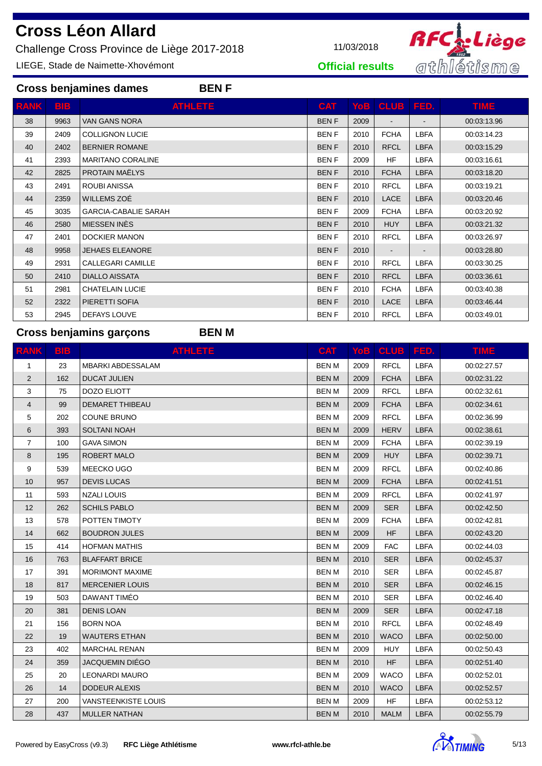Challenge Cross Province de Liège 2017-2018 11/03/2018

**Cross benjamines dames BEN F**

LIEGE, Stade de Naimette-Xhovémont



**Official results**

| <b>ATHLETE</b><br><b>BIB</b><br>YoB   CLUB   FED.<br><b>TIME</b><br>RANK<br><b>CAT</b><br><b>BENF</b><br>38<br>9963<br><b>VAN GANS NORA</b><br>2009<br>00:03:13.96<br>$\overline{\phantom{a}}$<br><b>FCHA</b><br>2409<br><b>COLLIGNON LUCIE</b><br><b>BENF</b><br>LBFA<br>39<br>2010<br>00:03:14.23<br><b>RFCL</b><br><b>LBFA</b><br>2402<br><b>BERNIER ROMANE</b><br><b>BENF</b><br>2010<br>40<br>00:03:15.29<br>HF.<br>LBFA<br><b>MARITANO CORALINE</b><br><b>BENF</b><br>2009<br>00:03:16.61<br>41<br>2393<br>PROTAIN MAËLYS<br><b>BENF</b><br><b>LBFA</b><br>42<br>2825<br><b>FCHA</b><br>00:03:18.20<br>2010<br><b>ROUBI ANISSA</b><br><b>BENF</b><br><b>RFCL</b><br>LBFA<br>43<br>2491<br>2010<br>00:03:19.21<br>WILLEMS ZOÉ<br><b>LACE</b><br><b>BENF</b><br><b>LBFA</b><br>44<br>2359<br>00:03:20.46<br>2010<br><b>LBFA</b><br><b>GARCIA-CABALIE SARAH</b><br><b>BENF</b><br><b>FCHA</b><br>45<br>3035<br>2009<br>00:03:20.92<br>MIESSEN INÈS<br><b>BENF</b><br><b>HUY</b><br><b>LBFA</b><br>46<br>2580<br>2010<br>00:03:21.32<br><b>DOCKIER MANON</b><br><b>RFCL</b><br><b>LBFA</b><br>2401<br><b>BENF</b><br>47<br>2010<br>00:03:26.97<br>48<br>9958<br><b>JEHAES ELEANORE</b><br><b>BENF</b><br>2010<br>00:03:28.80<br><b>CALLEGARI CAMILLE</b><br><b>BENF</b><br><b>RFCL</b><br>LBFA<br>49<br>2931<br>2010<br>00:03:30.25<br><b>DIALLO AISSATA</b><br><b>BENF</b><br><b>RFCL</b><br><b>LBFA</b><br>2010<br>00:03:36.61<br>50<br>2410<br>LBFA<br><b>CHATELAIN LUCIE</b><br><b>BENF</b><br><b>FCHA</b><br>00:03:40.38<br>51<br>2981<br>2010<br>PIERETTI SOFIA<br><b>BENF</b><br>LACE<br><b>LBFA</b><br>52<br>2322<br>2010<br>00:03:46.44<br>DEFAYS LOUVE<br><b>RFCL</b><br><b>LBFA</b><br>53<br>2945<br><b>BENF</b><br>2010<br>00:03:49.01 |  |  |  |  |
|------------------------------------------------------------------------------------------------------------------------------------------------------------------------------------------------------------------------------------------------------------------------------------------------------------------------------------------------------------------------------------------------------------------------------------------------------------------------------------------------------------------------------------------------------------------------------------------------------------------------------------------------------------------------------------------------------------------------------------------------------------------------------------------------------------------------------------------------------------------------------------------------------------------------------------------------------------------------------------------------------------------------------------------------------------------------------------------------------------------------------------------------------------------------------------------------------------------------------------------------------------------------------------------------------------------------------------------------------------------------------------------------------------------------------------------------------------------------------------------------------------------------------------------------------------------------------------------------------------------------------------------------------------------------------------------------------------------------------------------------------|--|--|--|--|
|                                                                                                                                                                                                                                                                                                                                                                                                                                                                                                                                                                                                                                                                                                                                                                                                                                                                                                                                                                                                                                                                                                                                                                                                                                                                                                                                                                                                                                                                                                                                                                                                                                                                                                                                                      |  |  |  |  |
|                                                                                                                                                                                                                                                                                                                                                                                                                                                                                                                                                                                                                                                                                                                                                                                                                                                                                                                                                                                                                                                                                                                                                                                                                                                                                                                                                                                                                                                                                                                                                                                                                                                                                                                                                      |  |  |  |  |
|                                                                                                                                                                                                                                                                                                                                                                                                                                                                                                                                                                                                                                                                                                                                                                                                                                                                                                                                                                                                                                                                                                                                                                                                                                                                                                                                                                                                                                                                                                                                                                                                                                                                                                                                                      |  |  |  |  |
|                                                                                                                                                                                                                                                                                                                                                                                                                                                                                                                                                                                                                                                                                                                                                                                                                                                                                                                                                                                                                                                                                                                                                                                                                                                                                                                                                                                                                                                                                                                                                                                                                                                                                                                                                      |  |  |  |  |
|                                                                                                                                                                                                                                                                                                                                                                                                                                                                                                                                                                                                                                                                                                                                                                                                                                                                                                                                                                                                                                                                                                                                                                                                                                                                                                                                                                                                                                                                                                                                                                                                                                                                                                                                                      |  |  |  |  |
|                                                                                                                                                                                                                                                                                                                                                                                                                                                                                                                                                                                                                                                                                                                                                                                                                                                                                                                                                                                                                                                                                                                                                                                                                                                                                                                                                                                                                                                                                                                                                                                                                                                                                                                                                      |  |  |  |  |
|                                                                                                                                                                                                                                                                                                                                                                                                                                                                                                                                                                                                                                                                                                                                                                                                                                                                                                                                                                                                                                                                                                                                                                                                                                                                                                                                                                                                                                                                                                                                                                                                                                                                                                                                                      |  |  |  |  |
|                                                                                                                                                                                                                                                                                                                                                                                                                                                                                                                                                                                                                                                                                                                                                                                                                                                                                                                                                                                                                                                                                                                                                                                                                                                                                                                                                                                                                                                                                                                                                                                                                                                                                                                                                      |  |  |  |  |
|                                                                                                                                                                                                                                                                                                                                                                                                                                                                                                                                                                                                                                                                                                                                                                                                                                                                                                                                                                                                                                                                                                                                                                                                                                                                                                                                                                                                                                                                                                                                                                                                                                                                                                                                                      |  |  |  |  |
|                                                                                                                                                                                                                                                                                                                                                                                                                                                                                                                                                                                                                                                                                                                                                                                                                                                                                                                                                                                                                                                                                                                                                                                                                                                                                                                                                                                                                                                                                                                                                                                                                                                                                                                                                      |  |  |  |  |
|                                                                                                                                                                                                                                                                                                                                                                                                                                                                                                                                                                                                                                                                                                                                                                                                                                                                                                                                                                                                                                                                                                                                                                                                                                                                                                                                                                                                                                                                                                                                                                                                                                                                                                                                                      |  |  |  |  |
|                                                                                                                                                                                                                                                                                                                                                                                                                                                                                                                                                                                                                                                                                                                                                                                                                                                                                                                                                                                                                                                                                                                                                                                                                                                                                                                                                                                                                                                                                                                                                                                                                                                                                                                                                      |  |  |  |  |
|                                                                                                                                                                                                                                                                                                                                                                                                                                                                                                                                                                                                                                                                                                                                                                                                                                                                                                                                                                                                                                                                                                                                                                                                                                                                                                                                                                                                                                                                                                                                                                                                                                                                                                                                                      |  |  |  |  |
|                                                                                                                                                                                                                                                                                                                                                                                                                                                                                                                                                                                                                                                                                                                                                                                                                                                                                                                                                                                                                                                                                                                                                                                                                                                                                                                                                                                                                                                                                                                                                                                                                                                                                                                                                      |  |  |  |  |
|                                                                                                                                                                                                                                                                                                                                                                                                                                                                                                                                                                                                                                                                                                                                                                                                                                                                                                                                                                                                                                                                                                                                                                                                                                                                                                                                                                                                                                                                                                                                                                                                                                                                                                                                                      |  |  |  |  |
|                                                                                                                                                                                                                                                                                                                                                                                                                                                                                                                                                                                                                                                                                                                                                                                                                                                                                                                                                                                                                                                                                                                                                                                                                                                                                                                                                                                                                                                                                                                                                                                                                                                                                                                                                      |  |  |  |  |
|                                                                                                                                                                                                                                                                                                                                                                                                                                                                                                                                                                                                                                                                                                                                                                                                                                                                                                                                                                                                                                                                                                                                                                                                                                                                                                                                                                                                                                                                                                                                                                                                                                                                                                                                                      |  |  |  |  |

## **Cross benjamins garçons BEN M**

| <b>RANK</b>    | <b>BIB</b> | <b>ATHLETE</b>           | <b>CAT</b>   | <b>YoB</b> | <b>CLUB</b> | FED.        | <b>TIME</b> |
|----------------|------------|--------------------------|--------------|------------|-------------|-------------|-------------|
| $\mathbf{1}$   | 23         | <b>MBARKI ABDESSALAM</b> | <b>BENM</b>  | 2009       | <b>RFCL</b> | <b>LBFA</b> | 00:02:27.57 |
| $\overline{2}$ | 162        | <b>DUCAT JULIEN</b>      | <b>BENM</b>  | 2009       | <b>FCHA</b> | <b>LBFA</b> | 00:02:31.22 |
| 3              | 75         | DOZO ELIOTT              | <b>BENM</b>  | 2009       | <b>RFCL</b> | LBFA        | 00:02:32.61 |
| 4              | 99         | <b>DEMARET THIBEAU</b>   | <b>BENM</b>  | 2009       | <b>FCHA</b> | <b>LBFA</b> | 00:02:34.61 |
| 5              | 202        | <b>COUNE BRUNO</b>       | <b>BEN M</b> | 2009       | <b>RFCL</b> | <b>LBFA</b> | 00:02:36.99 |
| 6              | 393        | <b>SOLTANI NOAH</b>      | <b>BENM</b>  | 2009       | <b>HERV</b> | <b>LBFA</b> | 00:02:38.61 |
| $\overline{7}$ | 100        | <b>GAVA SIMON</b>        | <b>BENM</b>  | 2009       | <b>FCHA</b> | <b>LBFA</b> | 00:02:39.19 |
| 8              | 195        | <b>ROBERT MALO</b>       | <b>BENM</b>  | 2009       | <b>HUY</b>  | <b>LBFA</b> | 00:02:39.71 |
| 9              | 539        | MEECKO UGO               | <b>BENM</b>  | 2009       | <b>RFCL</b> | <b>LBFA</b> | 00:02:40.86 |
| 10             | 957        | <b>DEVIS LUCAS</b>       | <b>BENM</b>  | 2009       | <b>FCHA</b> | <b>LBFA</b> | 00:02:41.51 |
| 11             | 593        | <b>NZALI LOUIS</b>       | <b>BEN M</b> | 2009       | <b>RFCL</b> | <b>LBFA</b> | 00:02:41.97 |
| 12             | 262        | <b>SCHILS PABLO</b>      | <b>BENM</b>  | 2009       | <b>SER</b>  | <b>LBFA</b> | 00:02:42.50 |
| 13             | 578        | POTTEN TIMOTY            | <b>BENM</b>  | 2009       | <b>FCHA</b> | <b>LBFA</b> | 00:02:42.81 |
| 14             | 662        | <b>BOUDRON JULES</b>     | <b>BENM</b>  | 2009       | <b>HF</b>   | <b>LBFA</b> | 00:02:43.20 |
| 15             | 414        | <b>HOFMAN MATHIS</b>     | <b>BEN M</b> | 2009       | <b>FAC</b>  | <b>LBFA</b> | 00:02:44.03 |
| 16             | 763        | <b>BLAFFART BRICE</b>    | <b>BENM</b>  | 2010       | <b>SER</b>  | <b>LBFA</b> | 00:02:45.37 |
| 17             | 391        | <b>MORIMONT MAXIME</b>   | <b>BENM</b>  | 2010       | <b>SER</b>  | <b>LBFA</b> | 00:02:45.87 |
| 18             | 817        | <b>MERCENIER LOUIS</b>   | <b>BENM</b>  | 2010       | <b>SER</b>  | <b>LBFA</b> | 00:02:46.15 |
| 19             | 503        | DAWANT TIMÉO             | <b>BENM</b>  | 2010       | <b>SER</b>  | <b>LBFA</b> | 00:02:46.40 |
| 20             | 381        | <b>DENIS LOAN</b>        | <b>BENM</b>  | 2009       | <b>SER</b>  | <b>LBFA</b> | 00:02:47.18 |
| 21             | 156        | <b>BORN NOA</b>          | <b>BEN M</b> | 2010       | <b>RFCL</b> | <b>LBFA</b> | 00:02:48.49 |
| 22             | 19         | <b>WAUTERS ETHAN</b>     | <b>BENM</b>  | 2010       | <b>WACO</b> | <b>LBFA</b> | 00:02:50.00 |
| 23             | 402        | <b>MARCHAL RENAN</b>     | <b>BEN M</b> | 2009       | <b>HUY</b>  | <b>LBFA</b> | 00:02:50.43 |
| 24             | 359        | <b>JACQUEMIN DIÉGO</b>   | <b>BENM</b>  | 2010       | <b>HF</b>   | <b>LBFA</b> | 00:02:51.40 |
| 25             | 20         | <b>LEONARDI MAURO</b>    | <b>BEN M</b> | 2009       | <b>WACO</b> | <b>LBFA</b> | 00:02:52.01 |
| 26             | 14         | <b>DODEUR ALEXIS</b>     | <b>BENM</b>  | 2010       | <b>WACO</b> | <b>LBFA</b> | 00:02:52.57 |
| 27             | 200        | VANSTEENKISTE LOUIS      | <b>BENM</b>  | 2009       | <b>HF</b>   | <b>LBFA</b> | 00:02:53.12 |
| 28             | 437        | <b>MULLER NATHAN</b>     | <b>BENM</b>  | 2010       | <b>MALM</b> | <b>LBFA</b> | 00:02:55.79 |

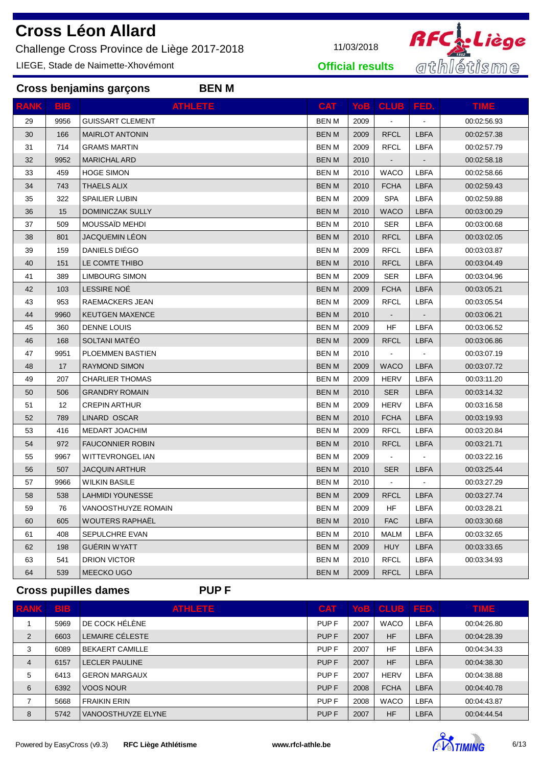Challenge Cross Province de Liège 2017-2018 11/03/2018

**Cross benjamins garçons BEN M**

LIEGE, Stade de Naimette-Xhovémont



**Official results**

| <b>RANK</b> | <b>BIB</b> | <b>ATHLETE</b>          | <b>CAT</b>   |      | YoB   CLUB   FED.        |             | <b>TIME</b> |
|-------------|------------|-------------------------|--------------|------|--------------------------|-------------|-------------|
| 29          | 9956       | <b>GUISSART CLEMENT</b> | <b>BEN M</b> | 2009 |                          |             | 00:02:56.93 |
| 30          | 166        | <b>MAIRLOT ANTONIN</b>  | <b>BENM</b>  | 2009 | <b>RFCL</b>              | <b>LBFA</b> | 00:02:57.38 |
| 31          | 714        | <b>GRAMS MARTIN</b>     | <b>BENM</b>  | 2009 | <b>RFCL</b>              | <b>LBFA</b> | 00:02:57.79 |
| 32          | 9952       | <b>MARICHAL ARD</b>     | <b>BENM</b>  | 2010 | $\overline{\phantom{a}}$ |             | 00:02:58.18 |
| 33          | 459        | <b>HOGE SIMON</b>       | <b>BENM</b>  | 2010 | <b>WACO</b>              | <b>LBFA</b> | 00:02:58.66 |
| 34          | 743        | <b>THAELS ALIX</b>      | <b>BENM</b>  | 2010 | <b>FCHA</b>              | <b>LBFA</b> | 00:02:59.43 |
| 35          | 322        | <b>SPAILIER LUBIN</b>   | <b>BENM</b>  | 2009 | <b>SPA</b>               | LBFA        | 00:02:59.88 |
| 36          | 15         | <b>DOMINICZAK SULLY</b> | <b>BENM</b>  | 2010 | <b>WACO</b>              | <b>LBFA</b> | 00:03:00.29 |
| 37          | 509        | MOUSSAÏD MEHDI          | <b>BENM</b>  | 2010 | <b>SER</b>               | <b>LBFA</b> | 00:03:00.68 |
| 38          | 801        | <b>JACQUEMIN LÉON</b>   | <b>BENM</b>  | 2010 | <b>RFCL</b>              | <b>LBFA</b> | 00:03:02.05 |
| 39          | 159        | DANIELS DIÉGO           | <b>BENM</b>  | 2009 | <b>RFCL</b>              | <b>LBFA</b> | 00:03:03.87 |
| 40          | 151        | LE COMTE THIBO          | <b>BENM</b>  | 2010 | <b>RFCL</b>              | <b>LBFA</b> | 00:03:04.49 |
| 41          | 389        | <b>LIMBOURG SIMON</b>   | <b>BEN M</b> | 2009 | <b>SER</b>               | LBFA        | 00:03:04.96 |
| 42          | 103        | LESSIRE NOË             | <b>BEN M</b> | 2009 | <b>FCHA</b>              | <b>LBFA</b> | 00:03:05.21 |
| 43          | 953        | RAEMACKERS JEAN         | <b>BENM</b>  | 2009 | <b>RFCL</b>              | <b>LBFA</b> | 00:03:05.54 |
| 44          | 9960       | <b>KEUTGEN MAXENCE</b>  | <b>BENM</b>  | 2010 | $\blacksquare$           |             | 00:03:06.21 |
| 45          | 360        | DENNE LOUIS             | <b>BENM</b>  | 2009 | <b>HF</b>                | <b>LBFA</b> | 00:03:06.52 |
| 46          | 168        | SOLTANI MATÉO           | <b>BEN M</b> | 2009 | <b>RFCL</b>              | <b>LBFA</b> | 00:03:06.86 |
| 47          | 9951       | PLOEMMEN BASTIEN        | <b>BENM</b>  | 2010 | $\blacksquare$           |             | 00:03:07.19 |
| 48          | 17         | <b>RAYMOND SIMON</b>    | <b>BENM</b>  | 2009 | <b>WACO</b>              | <b>LBFA</b> | 00:03:07.72 |
| 49          | 207        | <b>CHARLIER THOMAS</b>  | <b>BEN M</b> | 2009 | <b>HERV</b>              | <b>LBFA</b> | 00:03:11.20 |
| 50          | 506        | <b>GRANDRY ROMAIN</b>   | <b>BENM</b>  | 2010 | <b>SER</b>               | <b>LBFA</b> | 00:03:14.32 |
| 51          | 12         | <b>CREPIN ARTHUR</b>    | <b>BENM</b>  | 2009 | <b>HERV</b>              | <b>LBFA</b> | 00:03:16.58 |
| 52          | 789        | LINARD OSCAR            | <b>BEN M</b> | 2010 | <b>FCHA</b>              | <b>LBFA</b> | 00:03:19.93 |
| 53          | 416        | <b>MEDART JOACHIM</b>   | <b>BENM</b>  | 2009 | <b>RFCL</b>              | <b>LBFA</b> | 00:03:20.84 |
| 54          | 972        | <b>FAUCONNIER ROBIN</b> | <b>BENM</b>  | 2010 | <b>RFCL</b>              | <b>LBFA</b> | 00:03:21.71 |
| 55          | 9967       | WITTEVRONGEL IAN        | <b>BEN M</b> | 2009 | $\blacksquare$           |             | 00:03:22.16 |
| 56          | 507        | <b>JACQUIN ARTHUR</b>   | <b>BENM</b>  | 2010 | <b>SER</b>               | <b>LBFA</b> | 00:03:25.44 |
| 57          | 9966       | <b>WILKIN BASILE</b>    | <b>BENM</b>  | 2010 | $\blacksquare$           |             | 00:03:27.29 |
| 58          | 538        | <b>LAHMIDI YOUNESSE</b> | <b>BENM</b>  | 2009 | <b>RFCL</b>              | <b>LBFA</b> | 00:03:27.74 |
| 59          | 76         | VANOOSTHUYZE ROMAIN     | <b>BENM</b>  | 2009 | <b>HF</b>                | <b>LBFA</b> | 00:03:28.21 |
| 60          | 605        | <b>WOUTERS RAPHAËL</b>  | <b>BENM</b>  | 2010 | <b>FAC</b>               | <b>LBFA</b> | 00:03:30.68 |
| 61          | 408        | SEPULCHRE EVAN          | <b>BEN M</b> | 2010 | <b>MALM</b>              | LBFA        | 00:03:32.65 |
| 62          | 198        | <b>GUERIN WYATT</b>     | <b>BENM</b>  | 2009 | <b>HUY</b>               | <b>LBFA</b> | 00:03:33.65 |
| 63          | 541        | <b>DRION VICTOR</b>     | <b>BEN M</b> | 2010 | <b>RFCL</b>              | <b>LBFA</b> | 00:03:34.93 |
| 64          | 539        | MEECKO UGO              | <b>BEN M</b> | 2009 | <b>RFCL</b>              | <b>LBFA</b> |             |

**Cross pupilles dames PUP F**

| <b>RANK</b> | <b>BIB</b> | <b>ATHLETE</b>         | <b>CAT</b>       |      | Yob   CLUB   FED. |             | <b>TIME</b> |
|-------------|------------|------------------------|------------------|------|-------------------|-------------|-------------|
|             | 5969       | DE COCK HÉLÈNE         | PUP <sub>F</sub> | 2007 | <b>WACO</b>       | LBFA        | 00:04:26.80 |
| 2           | 6603       | LEMAIRE CÉLESTE        | PUP <sub>F</sub> | 2007 | <b>HF</b>         | <b>LBFA</b> | 00:04:28.39 |
| 3           | 6089       | <b>BEKAERT CAMILLE</b> | PUP F            | 2007 | <b>HF</b>         | LBFA        | 00:04:34.33 |
| 4           | 6157       | <b>LECLER PAULINE</b>  | PUP <sub>F</sub> | 2007 | <b>HF</b>         | <b>LBFA</b> | 00:04:38.30 |
| 5           | 6413       | <b>GERON MARGAUX</b>   | PUP <sub>F</sub> | 2007 | <b>HERV</b>       | <b>LBFA</b> | 00:04:38.88 |
| 6           | 6392       | <b>VOOS NOUR</b>       | PUP <sub>F</sub> | 2008 | <b>FCHA</b>       | <b>LBFA</b> | 00:04:40.78 |
|             | 5668       | <b>FRAIKIN ERIN</b>    | PUP F            | 2008 | <b>WACO</b>       | <b>LBFA</b> | 00:04:43.87 |
| 8           | 5742       | VANOOSTHUYZE ELYNE     | PUP <sub>F</sub> | 2007 | <b>HF</b>         | <b>LBFA</b> | 00:04:44.54 |

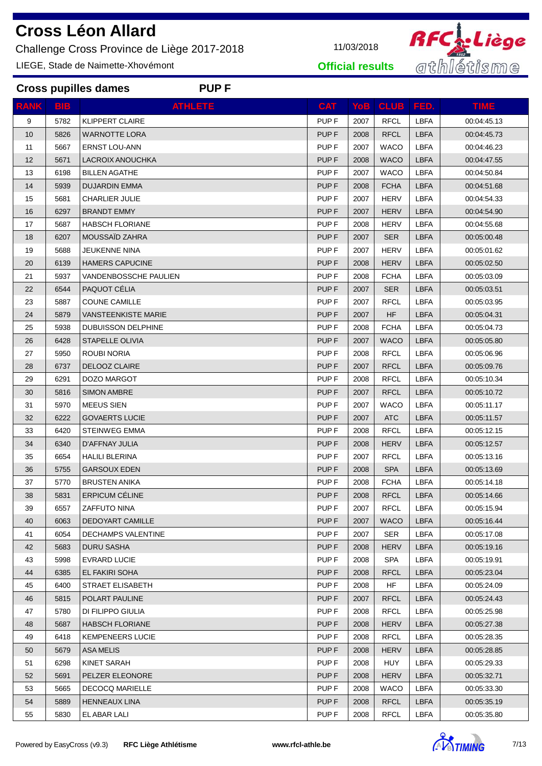Challenge Cross Province de Liège 2017-2018 11/03/2018

**Cross pupilles dames PUP F**

LIEGE, Stade de Naimette-Xhovémont



**Official results**

| <b>RANK</b> | <b>BIB</b> | <b>ATHLETE</b>             | <b>CAT</b>       |      | YoB   CLUB   FED. |             | <b>TIME</b> |
|-------------|------------|----------------------------|------------------|------|-------------------|-------------|-------------|
| 9           | 5782       | <b>KLIPPERT CLAIRE</b>     | PUP <sub>F</sub> | 2007 | <b>RFCL</b>       | <b>LBFA</b> | 00:04:45.13 |
| 10          | 5826       | <b>WARNOTTE LORA</b>       | PUP <sub>F</sub> | 2008 | <b>RFCL</b>       | <b>LBFA</b> | 00:04:45.73 |
| 11          | 5667       | <b>ERNST LOU-ANN</b>       | PUP <sub>F</sub> | 2007 | <b>WACO</b>       | <b>LBFA</b> | 00:04:46.23 |
| 12          | 5671       | LACROIX ANOUCHKA           | PUP <sub>F</sub> | 2008 | <b>WACO</b>       | <b>LBFA</b> | 00:04:47.55 |
| 13          | 6198       | <b>BILLEN AGATHE</b>       | PUP <sub>F</sub> | 2007 | <b>WACO</b>       | LBFA        | 00:04:50.84 |
| 14          | 5939       | <b>DUJARDIN EMMA</b>       | PUP <sub>F</sub> | 2008 | <b>FCHA</b>       | <b>LBFA</b> | 00:04:51.68 |
| 15          | 5681       | <b>CHARLIER JULIE</b>      | PUP <sub>F</sub> | 2007 | <b>HERV</b>       | LBFA        | 00:04:54.33 |
| 16          | 6297       | <b>BRANDT EMMY</b>         | PUP <sub>F</sub> | 2007 | <b>HERV</b>       | <b>LBFA</b> | 00:04:54.90 |
| 17          | 5687       | <b>HABSCH FLORIANE</b>     | PUP <sub>F</sub> | 2008 | HERV              | LBFA        | 00:04:55.68 |
| 18          | 6207       | MOUSSAÏD ZAHRA             | PUP <sub>F</sub> | 2007 | <b>SER</b>        | <b>LBFA</b> | 00:05:00.48 |
| 19          | 5688       | JEUKENNE NINA              | PUP <sub>F</sub> | 2007 | <b>HERV</b>       | LBFA        | 00:05:01.62 |
| 20          | 6139       | <b>HAMERS CAPUCINE</b>     | PUP <sub>F</sub> | 2008 | <b>HERV</b>       | <b>LBFA</b> | 00:05:02.50 |
| 21          | 5937       | VANDENBOSSCHE PAULIEN      | PUP <sub>F</sub> | 2008 | <b>FCHA</b>       | LBFA        | 00:05:03.09 |
| 22          | 6544       | PAQUOT CÉLIA               | PUP <sub>F</sub> | 2007 | <b>SER</b>        | <b>LBFA</b> | 00:05:03.51 |
| 23          | 5887       | <b>COUNE CAMILLE</b>       | PUP <sub>F</sub> | 2007 | <b>RFCL</b>       | LBFA        | 00:05:03.95 |
| 24          | 5879       | <b>VANSTEENKISTE MARIE</b> | PUP <sub>F</sub> | 2007 | <b>HF</b>         | <b>LBFA</b> | 00:05:04.31 |
| 25          | 5938       | <b>DUBUISSON DELPHINE</b>  | PUP <sub>F</sub> | 2008 | <b>FCHA</b>       | LBFA        | 00:05:04.73 |
| 26          | 6428       | <b>STAPELLE OLIVIA</b>     | PUP <sub>F</sub> | 2007 | <b>WACO</b>       | <b>LBFA</b> | 00:05:05.80 |
| 27          | 5950       | ROUBI NORIA                | PUP <sub>F</sub> | 2008 | <b>RFCL</b>       | LBFA        | 00:05:06.96 |
| 28          | 6737       | DELOOZ CLAIRE              | PUP <sub>F</sub> | 2007 | <b>RFCL</b>       | <b>LBFA</b> | 00:05:09.76 |
| 29          | 6291       | DOZO MARGOT                | PUP <sub>F</sub> | 2008 | <b>RFCL</b>       | <b>LBFA</b> | 00:05:10.34 |
| 30          | 5816       | <b>SIMON AMBRE</b>         | PUP <sub>F</sub> | 2007 | <b>RFCL</b>       | <b>LBFA</b> | 00:05:10.72 |
| 31          | 5970       | <b>MEEUS SIEN</b>          | PUP <sub>F</sub> | 2007 | <b>WACO</b>       | <b>LBFA</b> | 00:05:11.17 |
| 32          | 6222       | <b>GOVAERTS LUCIE</b>      | PUP <sub>F</sub> | 2007 | <b>ATC</b>        | <b>LBFA</b> | 00:05:11.57 |
| 33          | 6420       | <b>STEINWEG EMMA</b>       | PUP <sub>F</sub> | 2008 | <b>RFCL</b>       | <b>LBFA</b> | 00:05:12.15 |
| 34          | 6340       | D'AFFNAY JULIA             | PUP <sub>F</sub> | 2008 | <b>HERV</b>       | <b>LBFA</b> | 00:05:12.57 |
| 35          | 6654       | <b>HALILI BLERINA</b>      | PUP <sub>F</sub> | 2007 | <b>RFCL</b>       | LBFA        | 00:05:13.16 |
| 36          | 5755       | <b>GARSOUX EDEN</b>        | PUP <sub>F</sub> | 2008 | <b>SPA</b>        | <b>LBFA</b> | 00:05:13.69 |
| 37          | 5770       | <b>BRUSTEN ANIKA</b>       | PUP F            | 2008 | <b>FCHA</b>       | LBFA        | 00:05:14.18 |
| 38          | 5831       | ERPICUM CÉLINE             | PUP <sub>F</sub> | 2008 | <b>RFCL</b>       | <b>LBFA</b> | 00:05:14.66 |
| 39          | 6557       | ZAFFUTO NINA               | PUP <sub>F</sub> | 2007 | <b>RFCL</b>       | LBFA        | 00:05:15.94 |
| 40          | 6063       | DEDOYART CAMILLE           | PUP <sub>F</sub> | 2007 | <b>WACO</b>       | <b>LBFA</b> | 00:05:16.44 |
| 41          | 6054       | <b>DECHAMPS VALENTINE</b>  | PUP <sub>F</sub> | 2007 | <b>SER</b>        | LBFA        | 00:05:17.08 |
| 42          | 5683       | <b>DURU SASHA</b>          | PUP <sub>F</sub> | 2008 | <b>HERV</b>       | <b>LBFA</b> | 00:05:19.16 |
| 43          | 5998       | <b>EVRARD LUCIE</b>        | PUP <sub>F</sub> | 2008 | <b>SPA</b>        | LBFA        | 00:05:19.91 |
| 44          | 6385       | EL FAKIRI SOHA             | PUP <sub>F</sub> | 2008 | <b>RFCL</b>       | <b>LBFA</b> | 00:05:23.04 |
| 45          | 6400       | STRAET ELISABETH           | PUP F            | 2008 | HF                | LBFA        | 00:05:24.09 |
| 46          | 5815       | POLART PAULINE             | PUP <sub>F</sub> | 2007 | <b>RFCL</b>       | <b>LBFA</b> | 00:05:24.43 |
| 47          | 5780       | DI FILIPPO GIULIA          | PUP <sub>F</sub> | 2008 | <b>RFCL</b>       | LBFA        | 00:05:25.98 |
| 48          | 5687       | <b>HABSCH FLORIANE</b>     | PUP <sub>F</sub> | 2008 | <b>HERV</b>       | <b>LBFA</b> | 00:05:27.38 |
| 49          | 6418       | <b>KEMPENEERS LUCIE</b>    | PUP <sub>F</sub> | 2008 | <b>RFCL</b>       | LBFA        | 00:05:28.35 |
| 50          | 5679       | <b>ASA MELIS</b>           | PUP <sub>F</sub> | 2008 | <b>HERV</b>       | LBFA        | 00:05:28.85 |
| 51          | 6298       | KINET SARAH                | PUP <sub>F</sub> | 2008 | <b>HUY</b>        | <b>LBFA</b> | 00:05:29.33 |
| 52          | 5691       | PELZER ELEONORE            | PUP <sub>F</sub> | 2008 | <b>HERV</b>       | <b>LBFA</b> | 00:05:32.71 |
| 53          | 5665       | <b>DECOCQ MARIELLE</b>     | PUP <sub>F</sub> | 2008 | <b>WACO</b>       | LBFA        | 00:05:33.30 |
| 54          | 5889       | <b>HENNEAUX LINA</b>       | PUP F            | 2008 | <b>RFCL</b>       | <b>LBFA</b> | 00:05:35.19 |

5830 ELABAR LALI PUP F 2008 RFCL LBFA 00:05:35.80

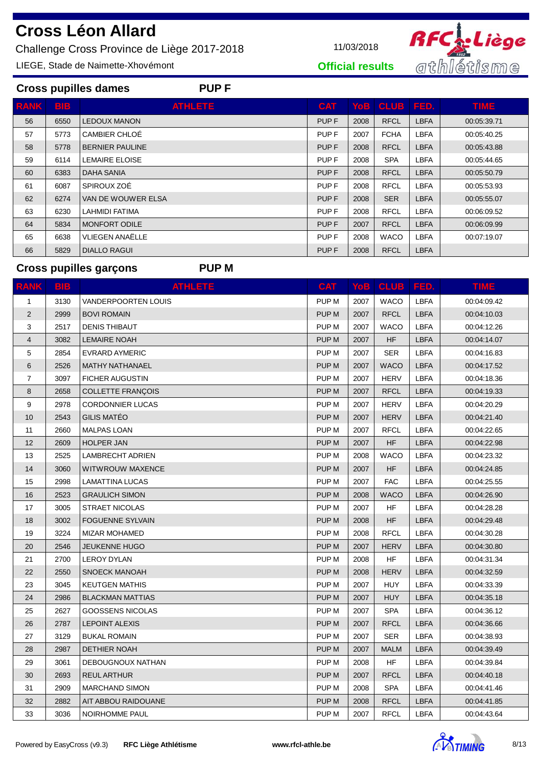Challenge Cross Province de Liège 2017-2018 11/03/2018

LIEGE, Stade de Naimette-Xhovémont



**Official results**

| <b>PUPF</b><br><b>Cross pupilles dames</b> |      |                        |                  |      |             |             |             |  |  |  |  |  |
|--------------------------------------------|------|------------------------|------------------|------|-------------|-------------|-------------|--|--|--|--|--|
| <b>RANK</b>                                | BIB. | <b>ATHLETE</b>         | <b>CAT</b>       |      | Yob   CLUB  | FED.        | TIME.       |  |  |  |  |  |
| 56                                         | 6550 | <b>LEDOUX MANON</b>    | PUP <sub>F</sub> | 2008 | <b>RFCL</b> | <b>LBFA</b> | 00:05:39.71 |  |  |  |  |  |
| 57                                         | 5773 | CAMBIER CHLOÉ          | PUP <sub>F</sub> | 2007 | <b>FCHA</b> | <b>LBFA</b> | 00:05:40.25 |  |  |  |  |  |
| 58                                         | 5778 | <b>BERNIER PAULINE</b> | PUP <sub>F</sub> | 2008 | <b>RFCL</b> | <b>LBFA</b> | 00:05:43.88 |  |  |  |  |  |
| 59                                         | 6114 | <b>LEMAIRE ELOISE</b>  | PUP <sub>F</sub> | 2008 | <b>SPA</b>  | <b>LBFA</b> | 00:05:44.65 |  |  |  |  |  |
| 60                                         | 6383 | <b>DAHA SANIA</b>      | PUP <sub>F</sub> | 2008 | <b>RFCL</b> | <b>LBFA</b> | 00:05:50.79 |  |  |  |  |  |
| 61                                         | 6087 | SPIROUX ZOÉ            | PUP <sub>F</sub> | 2008 | <b>RFCL</b> | <b>LBFA</b> | 00:05:53.93 |  |  |  |  |  |
| 62                                         | 6274 | VAN DE WOUWER ELSA     | PUP <sub>F</sub> | 2008 | <b>SER</b>  | <b>LBFA</b> | 00:05:55.07 |  |  |  |  |  |
| 63                                         | 6230 | LAHMIDI FATIMA         | PUP F            | 2008 | <b>RFCL</b> | <b>LBFA</b> | 00:06:09.52 |  |  |  |  |  |
| 64                                         | 5834 | <b>MONFORT ODILE</b>   | PUP <sub>F</sub> | 2007 | <b>RFCL</b> | <b>LBFA</b> | 00:06:09.99 |  |  |  |  |  |
| 65                                         | 6638 | <b>VLIEGEN ANAËLLE</b> | PUP F            | 2008 | <b>WACO</b> | <b>LBFA</b> | 00:07:19.07 |  |  |  |  |  |
| 66                                         | 5829 | <b>DIALLO RAGUI</b>    | PUP <sub>F</sub> | 2008 | <b>RFCL</b> | <b>LBFA</b> |             |  |  |  |  |  |

## **Cross pupilles garçons PUP M**

| <b>RANK</b>             | <b>BIB</b> | <b>ATHLETE</b>             | <b>CAT</b>       | <b>YoB</b> | <b>CLUB</b> | FED.        | <b>TIME</b> |
|-------------------------|------------|----------------------------|------------------|------------|-------------|-------------|-------------|
| 1                       | 3130       | <b>VANDERPOORTEN LOUIS</b> | PUP <sub>M</sub> | 2007       | <b>WACO</b> | <b>LBFA</b> | 00:04:09.42 |
| $\overline{2}$          | 2999       | <b>BOVI ROMAIN</b>         | PUP <sub>M</sub> | 2007       | <b>RFCL</b> | LBFA        | 00:04:10.03 |
| 3                       | 2517       | <b>DENIS THIBAUT</b>       | PUP M            | 2007       | <b>WACO</b> | <b>LBFA</b> | 00:04:12.26 |
| $\overline{\mathbf{4}}$ | 3082       | <b>LEMAIRE NOAH</b>        | PUP M            | 2007       | <b>HF</b>   | <b>LBFA</b> | 00:04:14.07 |
| 5                       | 2854       | EVRARD AYMERIC             | PUP <sub>M</sub> | 2007       | <b>SER</b>  | <b>LBFA</b> | 00:04:16.83 |
| 6                       | 2526       | <b>MATHY NATHANAEL</b>     | PUP M            | 2007       | <b>WACO</b> | <b>LBFA</b> | 00:04:17.52 |
| $\overline{7}$          | 3097       | <b>FICHER AUGUSTIN</b>     | PUP <sub>M</sub> | 2007       | <b>HERV</b> | LBFA        | 00:04:18.36 |
| 8                       | 2658       | <b>COLLETTE FRANÇOIS</b>   | PUP <sub>M</sub> | 2007       | <b>RFCL</b> | <b>LBFA</b> | 00:04:19.33 |
| 9                       | 2978       | <b>CORDONNIER LUCAS</b>    | PUP M            | 2007       | <b>HERV</b> | <b>LBFA</b> | 00:04:20.29 |
| 10                      | 2543       | <b>GILIS MATÉO</b>         | PUP M            | 2007       | <b>HERV</b> | <b>LBFA</b> | 00:04:21.40 |
| 11                      | 2660       | <b>MALPAS LOAN</b>         | PUP <sub>M</sub> | 2007       | <b>RFCL</b> | <b>LBFA</b> | 00:04:22.65 |
| 12                      | 2609       | <b>HOLPER JAN</b>          | PUP M            | 2007       | <b>HF</b>   | <b>LBFA</b> | 00:04:22.98 |
| 13                      | 2525       | LAMBRECHT ADRIEN           | PUP M            | 2008       | <b>WACO</b> | <b>LBFA</b> | 00:04:23.32 |
| 14                      | 3060       | <b>WITWROUW MAXENCE</b>    | PUP M            | 2007       | <b>HF</b>   | <b>LBFA</b> | 00:04:24.85 |
| 15                      | 2998       | <b>LAMATTINA LUCAS</b>     | PUP <sub>M</sub> | 2007       | <b>FAC</b>  | <b>LBFA</b> | 00:04:25.55 |
| 16                      | 2523       | <b>GRAULICH SIMON</b>      | PUP <sub>M</sub> | 2008       | <b>WACO</b> | <b>LBFA</b> | 00:04:26.90 |
| 17                      | 3005       | <b>STRAET NICOLAS</b>      | PUP <sub>M</sub> | 2007       | <b>HF</b>   | <b>LBFA</b> | 00:04:28.28 |
| 18                      | 3002       | <b>FOGUENNE SYLVAIN</b>    | PUP M            | 2008       | <b>HF</b>   | <b>LBFA</b> | 00:04:29.48 |
| 19                      | 3224       | <b>MIZAR MOHAMED</b>       | PUP M            | 2008       | <b>RFCL</b> | <b>LBFA</b> | 00:04:30.28 |
| 20                      | 2546       | <b>JEUKENNE HUGO</b>       | PUP M            | 2007       | <b>HERV</b> | <b>LBFA</b> | 00:04:30.80 |
| 21                      | 2700       | <b>LEROY DYLAN</b>         | PUP <sub>M</sub> | 2008       | <b>HF</b>   | <b>LBFA</b> | 00:04:31.34 |
| 22                      | 2550       | <b>SNOECK MANOAH</b>       | PUP M            | 2008       | <b>HERV</b> | <b>LBFA</b> | 00:04:32.59 |
| 23                      | 3045       | <b>KEUTGEN MATHIS</b>      | PUP M            | 2007       | <b>HUY</b>  | <b>LBFA</b> | 00:04:33.39 |
| 24                      | 2986       | <b>BLACKMAN MATTIAS</b>    | PUP <sub>M</sub> | 2007       | <b>HUY</b>  | LBFA        | 00:04:35.18 |
| 25                      | 2627       | <b>GOOSSENS NICOLAS</b>    | PUP <sub>M</sub> | 2007       | <b>SPA</b>  | <b>LBFA</b> | 00:04:36.12 |
| 26                      | 2787       | <b>LEPOINT ALEXIS</b>      | PUP M            | 2007       | <b>RFCL</b> | <b>LBFA</b> | 00:04:36.66 |
| 27                      | 3129       | <b>BUKAL ROMAIN</b>        | PUP <sub>M</sub> | 2007       | <b>SER</b>  | <b>LBFA</b> | 00:04:38.93 |
| 28                      | 2987       | <b>DETHIER NOAH</b>        | PUP <sub>M</sub> | 2007       | <b>MALM</b> | <b>LBFA</b> | 00:04:39.49 |
| 29                      | 3061       | DEBOUGNOUX NATHAN          | PUP M            | 2008       | <b>HF</b>   | <b>LBFA</b> | 00:04:39.84 |
| 30                      | 2693       | <b>REUL ARTHUR</b>         | PUP M            | 2007       | <b>RFCL</b> | LBFA        | 00:04:40.18 |
| 31                      | 2909       | <b>MARCHAND SIMON</b>      | PUP <sub>M</sub> | 2008       | <b>SPA</b>  | <b>LBFA</b> | 00:04:41.46 |
| 32                      | 2882       | AIT ABBOU RAIDOUANE        | PUP M            | 2008       | <b>RFCL</b> | <b>LBFA</b> | 00:04:41.85 |
| 33                      | 3036       | NOIRHOMME PAUL             | PUP <sub>M</sub> | 2007       | <b>RFCL</b> | LBFA        | 00:04:43.64 |

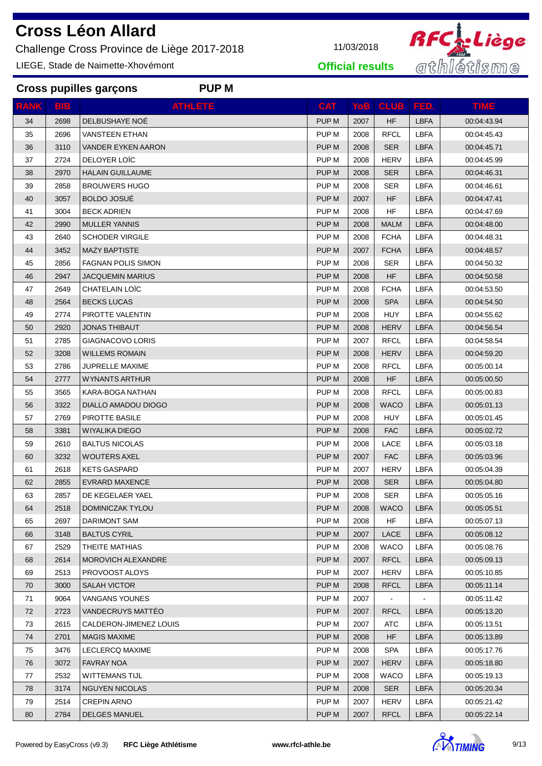Challenge Cross Province de Liège 2017-2018 11/03/2018

**Cross pupilles garçons PUP M**

LIEGE, Stade de Naimette-Xhovémont



**Official results**

| <b>RANK</b> | <b>BIB</b> | <b>ATHLETE</b>            | <b>CAT</b>       |      | YoB CLUB FED.  |                | <b>TIME</b> |
|-------------|------------|---------------------------|------------------|------|----------------|----------------|-------------|
| 34          | 2698       | DELBUSHAYE NOE            | PUP <sub>M</sub> | 2007 | <b>HF</b>      | <b>LBFA</b>    | 00:04:43.94 |
| 35          | 2696       | <b>VANSTEEN ETHAN</b>     | PUP <sub>M</sub> | 2008 | <b>RFCL</b>    | LBFA           | 00:04:45.43 |
| 36          | 3110       | <b>VANDER EYKEN AARON</b> | PUP M            | 2008 | <b>SER</b>     | <b>LBFA</b>    | 00:04:45.71 |
| 37          | 2724       | DELOYER LOIC              | PUP <sub>M</sub> | 2008 | <b>HERV</b>    | <b>LBFA</b>    | 00:04:45.99 |
| 38          | 2970       | <b>HALAIN GUILLAUME</b>   | PUP <sub>M</sub> | 2008 | <b>SER</b>     | <b>LBFA</b>    | 00:04:46.31 |
| 39          | 2858       | <b>BROUWERS HUGO</b>      | PUP <sub>M</sub> | 2008 | <b>SER</b>     | LBFA           | 00:04:46.61 |
| 40          | 3057       | <b>BOLDO JOSUE</b>        | PUP <sub>M</sub> | 2007 | HF             | <b>LBFA</b>    | 00:04:47.41 |
| 41          | 3004       | <b>BECK ADRIEN</b>        | PUP M            | 2008 | HF             | LBFA           | 00:04:47.69 |
| 42          | 2990       | <b>MULLER YANNIS</b>      | PUP <sub>M</sub> | 2008 | <b>MALM</b>    | <b>LBFA</b>    | 00:04:48.00 |
| 43          | 2640       | <b>SCHODER VIRGILE</b>    | PUP <sub>M</sub> | 2008 | <b>FCHA</b>    | LBFA           | 00:04:48.31 |
| 44          | 3452       | <b>MAZY BAPTISTE</b>      | PUP M            | 2007 | <b>FCHA</b>    | <b>LBFA</b>    | 00:04:48.57 |
| 45          | 2856       | <b>FAGNAN POLIS SIMON</b> | PUP M            | 2008 | <b>SER</b>     | LBFA           | 00:04:50.32 |
| 46          | 2947       | <b>JACQUEMIN MARIUS</b>   | PUP <sub>M</sub> | 2008 | HF             | <b>LBFA</b>    | 00:04:50.58 |
| 47          | 2649       | CHATELAIN LOÏC            | PUP <sub>M</sub> | 2008 | <b>FCHA</b>    | <b>LBFA</b>    | 00:04:53.50 |
| 48          | 2564       | <b>BECKS LUCAS</b>        | PUP <sub>M</sub> | 2008 | <b>SPA</b>     | <b>LBFA</b>    | 00:04:54.50 |
| 49          | 2774       | PIROTTE VALENTIN          | PUP <sub>M</sub> | 2008 | HUY            | <b>LBFA</b>    | 00:04:55.62 |
| 50          | 2920       | <b>JONAS THIBAUT</b>      | PUP <sub>M</sub> | 2008 | <b>HERV</b>    | <b>LBFA</b>    | 00:04:56.54 |
| 51          | 2785       | GIAGNACOVO LORIS          | PUP M            | 2007 | <b>RFCL</b>    | LBFA           | 00:04:58.54 |
| 52          | 3208       | <b>WILLEMS ROMAIN</b>     | PUP <sub>M</sub> | 2008 | <b>HERV</b>    | <b>LBFA</b>    | 00:04:59.20 |
| 53          | 2786       | <b>JUPRELLE MAXIME</b>    | PUP <sub>M</sub> | 2008 | <b>RFCL</b>    | <b>LBFA</b>    | 00:05:00.14 |
| 54          | 2777       | <b>WYNANTS ARTHUR</b>     | PUP <sub>M</sub> | 2008 | HF.            | <b>LBFA</b>    | 00:05:00.50 |
| 55          | 3565       | KARA-BOGA NATHAN          | PUP <sub>M</sub> | 2008 | <b>RFCL</b>    | <b>LBFA</b>    | 00:05:00.83 |
| 56          | 3322       | DIALLO AMADOU DIOGO       | PUP <sub>M</sub> | 2008 | WACO           | <b>LBFA</b>    | 00:05:01.13 |
| 57          | 2769       | PIROTTE BASILE            | PUP M            | 2008 | HUY            | LBFA           | 00:05:01.45 |
| 58          | 3381       | <b>WIYALIKA DIEGO</b>     | PUP <sub>M</sub> | 2008 | <b>FAC</b>     | <b>LBFA</b>    | 00:05:02.72 |
| 59          | 2610       | <b>BALTUS NICOLAS</b>     | PUP <sub>M</sub> | 2008 | LACE           | <b>LBFA</b>    | 00:05:03.18 |
| 60          | 3232       | <b>WOUTERS AXEL</b>       | PUP <sub>M</sub> | 2007 | <b>FAC</b>     | <b>LBFA</b>    | 00:05:03.96 |
| 61          | 2618       | <b>KETS GASPARD</b>       | PUP <sub>M</sub> | 2007 | <b>HERV</b>    | <b>LBFA</b>    | 00:05:04.39 |
| 62          | 2855       | <b>EVRARD MAXENCE</b>     | PUP <sub>M</sub> | 2008 | <b>SER</b>     | <b>LBFA</b>    | 00:05:04.80 |
| 63          | 2857       | DE KEGELAER YAEL          | PUP M            | 2008 | <b>SER</b>     | LBFA           | 00:05:05.16 |
| 64          | 2518       | DOMINICZAK TYLOU          | PUP M            | 2008 | <b>WACO</b>    | LBFA           | 00:05:05.51 |
| 65          | 2697       | DARIMONT SAM              | PUP M            | 2008 | HF             | LBFA           | 00:05:07.13 |
| 66          | 3148       | <b>BALTUS CYRIL</b>       | PUP <sub>M</sub> | 2007 | LACE           | <b>LBFA</b>    | 00:05:08.12 |
| 67          | 2529       | THEITE MATHIAS            | PUP M            | 2008 | <b>WACO</b>    | LBFA           | 00:05:08.76 |
| 68          | 2614       | <b>MOROVICH ALEXANDRE</b> | PUP <sub>M</sub> | 2007 | <b>RFCL</b>    | <b>LBFA</b>    | 00:05:09.13 |
| 69          | 2513       | PROVOOST ALOYS            | PUP <sub>M</sub> | 2007 | <b>HERV</b>    | <b>LBFA</b>    | 00:05:10.85 |
| 70          | 3000       | <b>SALAH VICTOR</b>       | PUP <sub>M</sub> | 2008 | <b>RFCL</b>    | <b>LBFA</b>    | 00:05:11.14 |
| 71          | 9064       | <b>VANGANS YOUNES</b>     | PUP M            | 2007 | $\blacksquare$ | $\blacksquare$ | 00:05:11.42 |
| 72          | 2723       | VANDECRUYS MATTÉO         | PUP <sub>M</sub> | 2007 | <b>RFCL</b>    | <b>LBFA</b>    | 00:05:13.20 |
| 73          | 2615       | CALDERON-JIMENEZ LOUIS    | PUP <sub>M</sub> | 2007 | <b>ATC</b>     | <b>LBFA</b>    | 00:05:13.51 |
| 74          | 2701       | <b>MAGIS MAXIME</b>       | PUP <sub>M</sub> | 2008 | HF.            | <b>LBFA</b>    | 00:05:13.89 |
| 75          | 3476       | LECLERCQ MAXIME           | PUP <sub>M</sub> | 2008 | <b>SPA</b>     | <b>LBFA</b>    | 00:05:17.76 |
| 76          | 3072       | <b>FAVRAY NOA</b>         | PUP <sub>M</sub> | 2007 | <b>HERV</b>    | <b>LBFA</b>    | 00:05:18.80 |
| 77          | 2532       | <b>WITTEMANS TIJL</b>     | PUP <sub>M</sub> | 2008 | WACO           | <b>LBFA</b>    | 00:05:19.13 |
| 78          | 3174       | <b>NGUYEN NICOLAS</b>     | PUP M            | 2008 | <b>SER</b>     | <b>LBFA</b>    | 00:05:20.34 |
| 79          | 2514       | <b>CREPIN ARNO</b>        | PUP M            | 2007 | <b>HERV</b>    | <b>LBFA</b>    | 00:05:21.42 |



80 2784 DELGES MANUEL 2007 PUP M 2007 RFCL LBFA 00:05:22.14

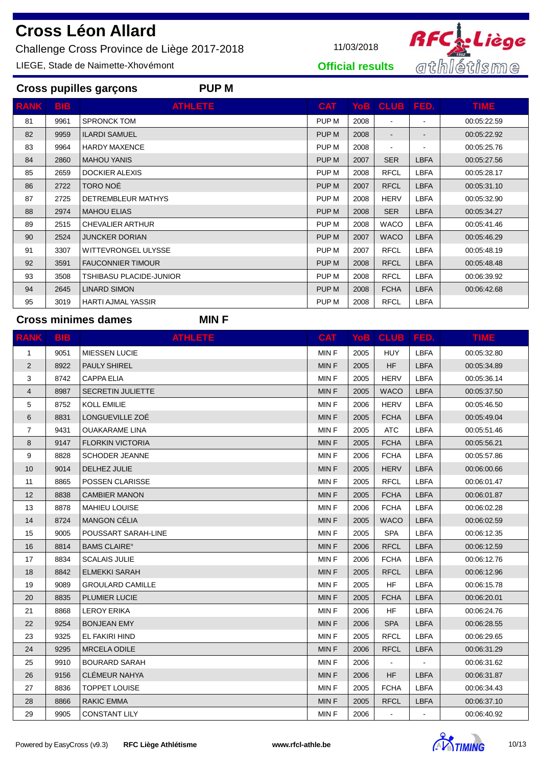Challenge Cross Province de Liège 2017-2018 11/03/2018

**Cross pupilles garçons PUP M**

LIEGE, Stade de Naimette-Xhovémont



**Official results**

| <b>BIB</b> | <b>ATHLETE</b>             | <b>CAT</b> |      |                |                | TIME.       |
|------------|----------------------------|------------|------|----------------|----------------|-------------|
| 9961       | <b>SPRONCK TOM</b>         | PUP M      | 2008 | $\blacksquare$ | $\blacksquare$ | 00:05:22.59 |
| 9959       | <b>ILARDI SAMUEL</b>       | PUP M      | 2008 |                |                | 00:05:22.92 |
| 9964       | <b>HARDY MAXENCE</b>       | PUP M      | 2008 |                |                | 00:05:25.76 |
| 2860       | <b>MAHOU YANIS</b>         | PUP M      | 2007 | <b>SER</b>     | <b>LBFA</b>    | 00:05:27.56 |
| 2659       | <b>DOCKIER ALEXIS</b>      | PUP M      | 2008 | <b>RFCL</b>    | <b>LBFA</b>    | 00:05:28.17 |
| 2722       | TORO NOÉ                   | PUP M      | 2007 | <b>RFCL</b>    | <b>LBFA</b>    | 00:05:31.10 |
| 2725       | DETREMBLEUR MATHYS         | PUP M      | 2008 | <b>HERV</b>    | <b>LBFA</b>    | 00:05:32.90 |
| 2974       | <b>MAHOU ELIAS</b>         | PUP M      | 2008 | <b>SER</b>     | <b>LBFA</b>    | 00:05:34.27 |
| 2515       | <b>CHEVALIER ARTHUR</b>    | PUP M      | 2008 | <b>WACO</b>    | LBFA           | 00:05:41.46 |
| 2524       | <b>JUNCKER DORIAN</b>      | PUP M      | 2007 | <b>WACO</b>    | <b>LBFA</b>    | 00:05:46.29 |
| 3307       | <b>WITTEVRONGEL ULYSSE</b> | PUP M      | 2007 | <b>RFCL</b>    | LBFA           | 00:05:48.19 |
| 3591       | <b>FAUCONNIER TIMOUR</b>   | PUP M      | 2008 | <b>RFCL</b>    | <b>LBFA</b>    | 00:05:48.48 |
| 3508       | TSHIBASU PLACIDE-JUNIOR    | PUP M      | 2008 | <b>RFCL</b>    | <b>LBFA</b>    | 00:06:39.92 |
| 2645       | <b>LINARD SIMON</b>        | PUP M      | 2008 | <b>FCHA</b>    | <b>LBFA</b>    | 00:06:42.68 |
| 3019       | <b>HARTI AJMAL YASSIR</b>  | PUP M      | 2008 | <b>RFCL</b>    | LBFA           |             |
|            |                            |            |      |                | YoB CLUB       | I FED.      |

**Cross minimes dames MIN F**

| <b>RANK</b>             | <b>BIB</b> | <b>ATHLETE</b>                 | <b>CAT</b>  |      | YoB   CLUB   FED. |             | <b>TIME</b> |
|-------------------------|------------|--------------------------------|-------------|------|-------------------|-------------|-------------|
| 1                       | 9051       | MIESSEN LUCIE                  | MIN F       | 2005 | <b>HUY</b>        | <b>LBFA</b> | 00:05:32.80 |
| $\overline{2}$          | 8922       | <b>PAULY SHIREL</b>            | <b>MINF</b> | 2005 | <b>HF</b>         | <b>LBFA</b> | 00:05:34.89 |
| 3                       | 8742       | <b>CAPPA ELIA</b>              | MIN F       | 2005 | <b>HERV</b>       | <b>LBFA</b> | 00:05:36.14 |
| $\overline{\mathbf{4}}$ | 8987       | <b>SECRETIN JULIETTE</b>       | MIN F       | 2005 | <b>WACO</b>       | <b>LBFA</b> | 00:05:37.50 |
| 5                       | 8752       | <b>KOLL EMILIE</b>             | MIN F       | 2006 | <b>HERV</b>       | <b>LBFA</b> | 00:05:46.50 |
| 6                       | 8831       | LONGUEVILLE ZOÉ                | <b>MINF</b> | 2005 | <b>FCHA</b>       | <b>LBFA</b> | 00:05:49.04 |
| $\overline{7}$          | 9431       | <b>OUAKARAME LINA</b>          | MIN F       | 2005 | <b>ATC</b>        | <b>LBFA</b> | 00:05:51.46 |
| 8                       | 9147       | <b>FLORKIN VICTORIA</b>        | <b>MINF</b> | 2005 | <b>FCHA</b>       | <b>LBFA</b> | 00:05:56.21 |
| 9                       | 8828       | <b>SCHODER JEANNE</b>          | MIN F       | 2006 | <b>FCHA</b>       | <b>LBFA</b> | 00:05:57.86 |
| 10                      | 9014       | DELHEZ JULIE                   | <b>MINF</b> | 2005 | <b>HERV</b>       | <b>LBFA</b> | 00:06:00.66 |
| 11                      | 8865       | POSSEN CLARISSE                | MIN F       | 2005 | <b>RFCL</b>       | <b>LBFA</b> | 00:06:01.47 |
| 12                      | 8838       | <b>CAMBIER MANON</b>           | <b>MINF</b> | 2005 | <b>FCHA</b>       | <b>LBFA</b> | 00:06:01.87 |
| 13                      | 8878       | <b>MAHIEU LOUISE</b>           | MIN F       | 2006 | <b>FCHA</b>       | <b>LBFA</b> | 00:06:02.28 |
| 14                      | 8724       | <b>MANGON CÉLIA</b>            | MIN F       | 2005 | <b>WACO</b>       | <b>LBFA</b> | 00:06:02.59 |
| 15                      | 9005       | POUSSART SARAH-LINE            | MIN F       | 2005 | <b>SPA</b>        | <b>LBFA</b> | 00:06:12.35 |
| 16                      | 8814       | <b>BAMS CLAIRE<sup>°</sup></b> | MIN F       | 2006 | <b>RFCL</b>       | <b>LBFA</b> | 00:06:12.59 |
| 17                      | 8834       | <b>SCALAIS JULIE</b>           | MIN F       | 2006 | <b>FCHA</b>       | <b>LBFA</b> | 00:06:12.76 |
| 18                      | 8842       | <b>ELMEKKI SARAH</b>           | <b>MINF</b> | 2005 | <b>RFCL</b>       | <b>LBFA</b> | 00:06:12.96 |
| 19                      | 9089       | <b>GROULARD CAMILLE</b>        | <b>MINF</b> | 2005 | <b>HF</b>         | <b>LBFA</b> | 00:06:15.78 |
| 20                      | 8835       | <b>PLUMIER LUCIE</b>           | MIN F       | 2005 | <b>FCHA</b>       | <b>LBFA</b> | 00:06:20.01 |
| 21                      | 8868       | <b>LEROY ERIKA</b>             | MIN F       | 2006 | HF                | <b>LBFA</b> | 00:06:24.76 |
| 22                      | 9254       | <b>BONJEAN EMY</b>             | <b>MINF</b> | 2006 | <b>SPA</b>        | <b>LBFA</b> | 00:06:28.55 |
| 23                      | 9325       | EL FAKIRI HIND                 | MIN F       | 2005 | <b>RFCL</b>       | <b>LBFA</b> | 00:06:29.65 |
| 24                      | 9295       | <b>MRCELA ODILE</b>            | MIN F       | 2006 | <b>RFCL</b>       | <b>LBFA</b> | 00:06:31.29 |
| 25                      | 9910       | <b>BOURARD SARAH</b>           | MIN F       | 2006 | $\blacksquare$    |             | 00:06:31.62 |
| 26                      | 9156       | <b>CLÉMEUR NAHYA</b>           | <b>MINF</b> | 2006 | HF.               | <b>LBFA</b> | 00:06:31.87 |
| 27                      | 8836       | <b>TOPPET LOUISE</b>           | MIN F       | 2005 | <b>FCHA</b>       | <b>LBFA</b> | 00:06:34.43 |
| 28                      | 8866       | <b>RAKIC EMMA</b>              | <b>MINF</b> | 2005 | <b>RFCL</b>       | <b>LBFA</b> | 00:06:37.10 |
| 29                      | 9905       | <b>CONSTANT LILY</b>           | <b>MINF</b> | 2006 |                   |             | 00:06:40.92 |

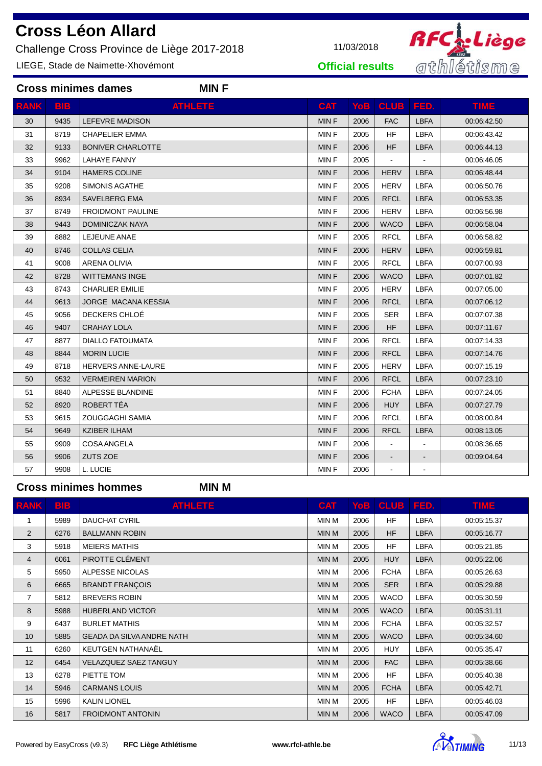Challenge Cross Province de Liège 2017-2018 11/03/2018

**Cross minimes dames MIN F**

LIEGE, Stade de Naimette-Xhovémont



**Official results**

| <b>RANK</b> | <b>BIB</b> | <b>ATHLETE</b>             | <b>CAT</b>  | YoB  | <b>CLUB</b>    | FED.        | <b>TIME</b> |
|-------------|------------|----------------------------|-------------|------|----------------|-------------|-------------|
| 30          | 9435       | <b>LEFEVRE MADISON</b>     | <b>MINF</b> | 2006 | <b>FAC</b>     | <b>LBFA</b> | 00:06:42.50 |
| 31          | 8719       | <b>CHAPELIER EMMA</b>      | MIN F       | 2005 | <b>HF</b>      | <b>LBFA</b> | 00:06:43.42 |
| 32          | 9133       | <b>BONIVER CHARLOTTE</b>   | <b>MINF</b> | 2006 | <b>HF</b>      | <b>LBFA</b> | 00:06:44.13 |
| 33          | 9962       | <b>LAHAYE FANNY</b>        | <b>MINF</b> | 2005 |                |             | 00:06:46.05 |
| 34          | 9104       | <b>HAMERS COLINE</b>       | <b>MINF</b> | 2006 | <b>HERV</b>    | <b>LBFA</b> | 00:06:48.44 |
| 35          | 9208       | <b>SIMONIS AGATHE</b>      | <b>MINF</b> | 2005 | <b>HERV</b>    | <b>LBFA</b> | 00:06:50.76 |
| 36          | 8934       | <b>SAVELBERG EMA</b>       | <b>MINF</b> | 2005 | <b>RFCL</b>    | <b>LBFA</b> | 00:06:53.35 |
| 37          | 8749       | <b>FROIDMONT PAULINE</b>   | MIN F       | 2006 | <b>HERV</b>    | <b>LBFA</b> | 00:06:56.98 |
| 38          | 9443       | <b>DOMINICZAK NAYA</b>     | <b>MINF</b> | 2006 | <b>WACO</b>    | <b>LBFA</b> | 00:06:58.04 |
| 39          | 8882       | LEJEUNE ANAE               | MIN F       | 2005 | <b>RFCL</b>    | <b>LBFA</b> | 00:06:58.82 |
| 40          | 8746       | <b>COLLAS CELIA</b>        | <b>MINF</b> | 2006 | <b>HERV</b>    | <b>LBFA</b> | 00:06:59.81 |
| 41          | 9008       | <b>ARENA OLIVIA</b>        | <b>MINF</b> | 2005 | <b>RFCL</b>    | <b>LBFA</b> | 00:07:00.93 |
| 42          | 8728       | <b>WITTEMANS INGE</b>      | <b>MINF</b> | 2006 | <b>WACO</b>    | <b>LBFA</b> | 00:07:01.82 |
| 43          | 8743       | <b>CHARLIER EMILIE</b>     | <b>MINF</b> | 2005 | <b>HERV</b>    | <b>LBFA</b> | 00:07:05.00 |
| 44          | 9613       | <b>JORGE MACANA KESSIA</b> | <b>MINF</b> | 2006 | <b>RFCL</b>    | <b>LBFA</b> | 00:07:06.12 |
| 45          | 9056       | DECKERS CHLOÉ              | MIN F       | 2005 | <b>SER</b>     | <b>LBFA</b> | 00:07:07.38 |
| 46          | 9407       | <b>CRAHAY LOLA</b>         | <b>MINF</b> | 2006 | <b>HF</b>      | <b>LBFA</b> | 00:07:11.67 |
| 47          | 8877       | <b>DIALLO FATOUMATA</b>    | MIN F       | 2006 | <b>RFCL</b>    | <b>LBFA</b> | 00:07:14.33 |
| 48          | 8844       | <b>MORIN LUCIE</b>         | <b>MINF</b> | 2006 | <b>RFCL</b>    | <b>LBFA</b> | 00:07:14.76 |
| 49          | 8718       | <b>HERVERS ANNE-LAURE</b>  | MIN F       | 2005 | <b>HERV</b>    | <b>LBFA</b> | 00:07:15.19 |
| 50          | 9532       | <b>VERMEIREN MARION</b>    | <b>MINF</b> | 2006 | <b>RFCL</b>    | <b>LBFA</b> | 00:07:23.10 |
| 51          | 8840       | ALPESSE BLANDINE           | MIN F       | 2006 | <b>FCHA</b>    | <b>LBFA</b> | 00:07:24.05 |
| 52          | 8920       | ROBERT TÉA                 | <b>MINF</b> | 2006 | <b>HUY</b>     | <b>LBFA</b> | 00:07:27.79 |
| 53          | 9615       | ZOUGGAGHI SAMIA            | MIN F       | 2006 | <b>RFCL</b>    | <b>LBFA</b> | 00:08:00.84 |
| 54          | 9649       | <b>KZIBER ILHAM</b>        | <b>MINF</b> | 2006 | <b>RFCL</b>    | <b>LBFA</b> | 00:08:13.05 |
| 55          | 9909       | <b>COSA ANGELA</b>         | MIN F       | 2006 | $\blacksquare$ |             | 00:08:36.65 |
| 56          | 9906       | ZUTS ZOE                   | MIN F       | 2006 |                |             | 00:09:04.64 |
| 57          | 9908       | L. LUCIE                   | <b>MINF</b> | 2006 | $\blacksquare$ |             |             |

**Cross minimes hommes MIN M**

| <b>RANK</b>     | <b>BIB</b> | <b>ATHLETE</b>                   | <b>CAT</b>   |      | Yob   CLUB   FED. |             | <b>TIME</b> |
|-----------------|------------|----------------------------------|--------------|------|-------------------|-------------|-------------|
| 1               | 5989       | <b>DAUCHAT CYRIL</b>             | <b>MIN M</b> | 2006 | HF                | <b>LBFA</b> | 00:05:15.37 |
| 2               | 6276       | <b>BALLMANN ROBIN</b>            | <b>MIN M</b> | 2005 | <b>HF</b>         | <b>LBFA</b> | 00:05:16.77 |
| 3               | 5918       | <b>MEIERS MATHIS</b>             | <b>MIN M</b> | 2005 | <b>HF</b>         | <b>LBFA</b> | 00:05:21.85 |
| $\overline{4}$  | 6061       | PIROTTE CLÉMENT                  | <b>MIN M</b> | 2005 | <b>HUY</b>        | <b>LBFA</b> | 00:05:22.06 |
| 5               | 5950       | ALPESSE NICOLAS                  | <b>MIN M</b> | 2006 | <b>FCHA</b>       | <b>LBFA</b> | 00:05:26.63 |
| 6               | 6665       | <b>BRANDT FRANÇOIS</b>           | <b>MIN M</b> | 2005 | <b>SER</b>        | <b>LBFA</b> | 00:05:29.88 |
| $\overline{7}$  | 5812       | <b>BREVERS ROBIN</b>             | <b>MIN M</b> | 2005 | <b>WACO</b>       | <b>LBFA</b> | 00:05:30.59 |
| 8               | 5988       | <b>HUBERLAND VICTOR</b>          | <b>MIN M</b> | 2005 | <b>WACO</b>       | <b>LBFA</b> | 00:05:31.11 |
| 9               | 6437       | <b>BURLET MATHIS</b>             | MIN M        | 2006 | <b>FCHA</b>       | <b>LBFA</b> | 00:05:32.57 |
| 10 <sup>1</sup> | 5885       | <b>GEADA DA SILVA ANDRE NATH</b> | <b>MIN M</b> | 2005 | <b>WACO</b>       | <b>LBFA</b> | 00:05:34.60 |
| 11              | 6260       | KEUTGEN NATHANAËL                | MIN M        | 2005 | <b>HUY</b>        | <b>LBFA</b> | 00:05:35.47 |
| 12              | 6454       | <b>VELAZQUEZ SAEZ TANGUY</b>     | <b>MIN M</b> | 2006 | <b>FAC</b>        | <b>LBFA</b> | 00:05:38.66 |
| 13              | 6278       | PIETTE TOM                       | MIN M        | 2006 | <b>HF</b>         | <b>LBFA</b> | 00:05:40.38 |
| 14              | 5946       | <b>CARMANS LOUIS</b>             | <b>MIN M</b> | 2005 | <b>FCHA</b>       | <b>LBFA</b> | 00:05:42.71 |
| 15              | 5996       | <b>KALIN LIONEL</b>              | <b>MIN M</b> | 2005 | HF.               | <b>LBFA</b> | 00:05:46.03 |
| 16              | 5817       | <b>FROIDMONT ANTONIN</b>         | <b>MIN M</b> | 2006 | <b>WACO</b>       | <b>LBFA</b> | 00:05:47.09 |

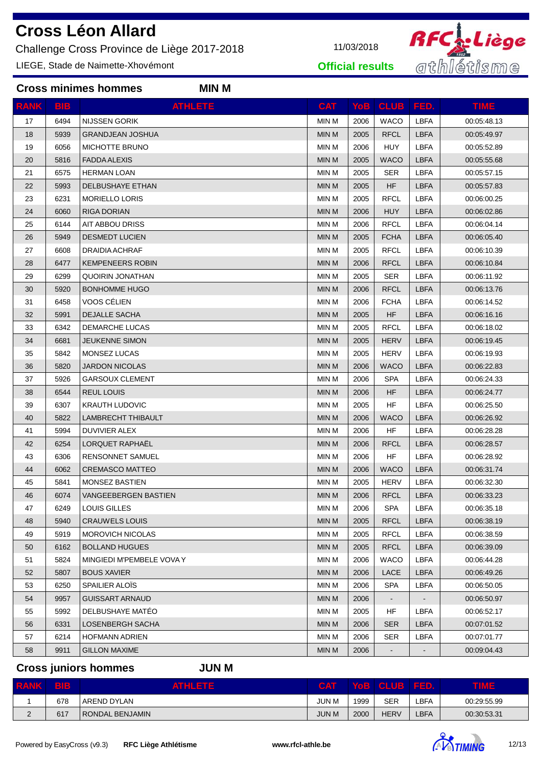Challenge Cross Province de Liège 2017-2018 11/03/2018

**Cross minimes hommes MIN M**

LIEGE, Stade de Naimette-Xhovémont



**Official results**

| <b>RANK</b> | BIB  | <b>ATHLETE</b>              | <b>CAT</b>   |      | Yob   CLUB   FED. |             | <b>TIME</b> |
|-------------|------|-----------------------------|--------------|------|-------------------|-------------|-------------|
| 17          | 6494 | NIJSSEN GORIK               | <b>MIN M</b> | 2006 | <b>WACO</b>       | <b>LBFA</b> | 00:05:48.13 |
| 18          | 5939 | <b>GRANDJEAN JOSHUA</b>     | <b>MIN M</b> | 2005 | <b>RFCL</b>       | <b>LBFA</b> | 00:05:49.97 |
| 19          | 6056 | MICHOTTE BRUNO              | MIN M        | 2006 | <b>HUY</b>        | <b>LBFA</b> | 00:05:52.89 |
| 20          | 5816 | <b>FADDA ALEXIS</b>         | <b>MIN M</b> | 2005 | <b>WACO</b>       | <b>LBFA</b> | 00:05:55.68 |
| 21          | 6575 | <b>HERMAN LOAN</b>          | MIN M        | 2005 | <b>SER</b>        | <b>LBFA</b> | 00:05:57.15 |
| 22          | 5993 | DELBUSHAYE ETHAN            | <b>MIN M</b> | 2005 | <b>HF</b>         | <b>LBFA</b> | 00:05:57.83 |
| 23          | 6231 | <b>MORIELLO LORIS</b>       | <b>MIN M</b> | 2005 | <b>RFCL</b>       | LBFA        | 00:06:00.25 |
| 24          | 6060 | <b>RIGA DORIAN</b>          | <b>MIN M</b> | 2006 | <b>HUY</b>        | <b>LBFA</b> | 00:06:02.86 |
| 25          | 6144 | AIT ABBOU DRISS             | MIN M        | 2006 | <b>RFCL</b>       | LBFA        | 00:06:04.14 |
| 26          | 5949 | <b>DESMEDT LUCIEN</b>       | <b>MIN M</b> | 2005 | <b>FCHA</b>       | <b>LBFA</b> | 00:06:05.40 |
| 27          | 6608 | DRAIDIA ACHRAF              | MIN M        | 2005 | <b>RFCL</b>       | <b>LBFA</b> | 00:06:10.39 |
| 28          | 6477 | <b>KEMPENEERS ROBIN</b>     | <b>MIN M</b> | 2006 | <b>RFCL</b>       | <b>LBFA</b> | 00:06:10.84 |
| 29          | 6299 | <b>QUOIRIN JONATHAN</b>     | MIN M        | 2005 | SER               | LBFA        | 00:06:11.92 |
| 30          | 5920 | <b>BONHOMME HUGO</b>        | <b>MIN M</b> | 2006 | <b>RFCL</b>       | <b>LBFA</b> | 00:06:13.76 |
| 31          | 6458 | VOOS CÉLIEN                 | MIN M        | 2006 | <b>FCHA</b>       | LBFA        | 00:06:14.52 |
| 32          | 5991 | <b>DEJALLE SACHA</b>        | <b>MIN M</b> | 2005 | <b>HF</b>         | <b>LBFA</b> | 00:06:16.16 |
| 33          | 6342 | DEMARCHE LUCAS              | MIN M        | 2005 | <b>RFCL</b>       | <b>LBFA</b> | 00:06:18.02 |
| 34          | 6681 | <b>JEUKENNE SIMON</b>       | <b>MIN M</b> | 2005 | <b>HERV</b>       | <b>LBFA</b> | 00:06:19.45 |
| 35          | 5842 | MONSEZ LUCAS                | <b>MIN M</b> | 2005 | <b>HERV</b>       | LBFA        | 00:06:19.93 |
| 36          | 5820 | <b>JARDON NICOLAS</b>       | <b>MIN M</b> | 2006 | <b>WACO</b>       | <b>LBFA</b> | 00:06:22.83 |
| 37          | 5926 | <b>GARSOUX CLEMENT</b>      | <b>MIN M</b> | 2006 | <b>SPA</b>        | <b>LBFA</b> | 00:06:24.33 |
| 38          | 6544 | <b>REUL LOUIS</b>           | <b>MIN M</b> | 2006 | <b>HF</b>         | <b>LBFA</b> | 00:06:24.77 |
| 39          | 6307 | <b>KRAUTH LUDOVIC</b>       | MIN M        | 2005 | HF                | <b>LBFA</b> | 00:06:25.50 |
| 40          | 5822 | LAMBRECHT THIBAULT          | <b>MIN M</b> | 2006 | <b>WACO</b>       | <b>LBFA</b> | 00:06:26.92 |
| 41          | 5994 | DUVIVIER ALEX               | MIN M        | 2006 | <b>HF</b>         | <b>LBFA</b> | 00:06:28.28 |
| 42          | 6254 | LORQUET RAPHAËL             | <b>MIN M</b> | 2006 | <b>RFCL</b>       | <b>LBFA</b> | 00:06:28.57 |
| 43          | 6306 | <b>RENSONNET SAMUEL</b>     | MIN M        | 2006 | <b>HF</b>         | <b>LBFA</b> | 00:06:28.92 |
| 44          | 6062 | <b>CREMASCO MATTEO</b>      | <b>MIN M</b> | 2006 | <b>WACO</b>       | <b>LBFA</b> | 00:06:31.74 |
| 45          | 5841 | <b>MONSEZ BASTIEN</b>       | MIN M        | 2005 | <b>HERV</b>       | LBFA        | 00:06:32.30 |
| 46          | 6074 | <b>VANGEEBERGEN BASTIEN</b> | <b>MIN M</b> | 2006 | <b>RFCL</b>       | <b>LBFA</b> | 00:06:33.23 |
| 47          | 6249 | LOUIS GILLES                | MIN M        | 2006 | <b>SPA</b>        | <b>LBFA</b> | 00:06:35.18 |
| 48          | 5940 | <b>CRAUWELS LOUIS</b>       | <b>MIN M</b> | 2005 | <b>RFCL</b>       | <b>LBFA</b> | 00:06:38.19 |
| 49          | 5919 | <b>MOROVICH NICOLAS</b>     | <b>MIN M</b> | 2005 | <b>RFCL</b>       | LBFA        | 00:06:38.59 |
| 50          | 6162 | <b>BOLLAND HUGUES</b>       | <b>MIN M</b> | 2005 | <b>RFCL</b>       | <b>LBFA</b> | 00:06:39.09 |
| 51          | 5824 | MINGIEDI M'PEMBELE VOVA Y   | MIN M        | 2006 | <b>WACO</b>       | LBFA        | 00:06:44.28 |
| 52          | 5807 | <b>BOUS XAVIER</b>          | <b>MIN M</b> | 2006 | LACE              | <b>LBFA</b> | 00:06:49.26 |
| 53          | 6250 | SPAILIER ALOIS              | MIN M        | 2006 | <b>SPA</b>        | LBFA        | 00:06:50.05 |
| 54          | 9957 | <b>GUISSART ARNAUD</b>      | <b>MIN M</b> | 2006 |                   |             | 00:06:50.97 |
| 55          | 5992 | DELBUSHAYE MATÉO            | MIN M        | 2005 | HF                | <b>LBFA</b> | 00:06:52.17 |
| 56          | 6331 | LOSENBERGH SACHA            | <b>MIN M</b> | 2006 | <b>SER</b>        | <b>LBFA</b> | 00:07:01.52 |
| 57          | 6214 | <b>HOFMANN ADRIEN</b>       | MIN M        | 2006 | <b>SER</b>        | <b>LBFA</b> | 00:07:01.77 |
| 58          | 9911 | <b>GILLON MAXIME</b>        | <b>MIN M</b> | 2006 |                   |             | 00:09:04.43 |

## **Cross juniors hommes JUN M**

| <b>RANK</b> | BIB. | ATHLETE.        | <b>CAT</b> |      | YOB   CLUB   FED. |      | <b>TIME</b> |
|-------------|------|-----------------|------------|------|-------------------|------|-------------|
|             | 678  | AREND DYLAN     | JUN M      | 1999 | <b>SER</b>        | ∟BFA | 00:29:55.99 |
| <u>.</u>    | 617  | RONDAL BENJAMIN | JUN M      | 2000 | <b>HERV</b>       | LBFA | 00:30:53.31 |